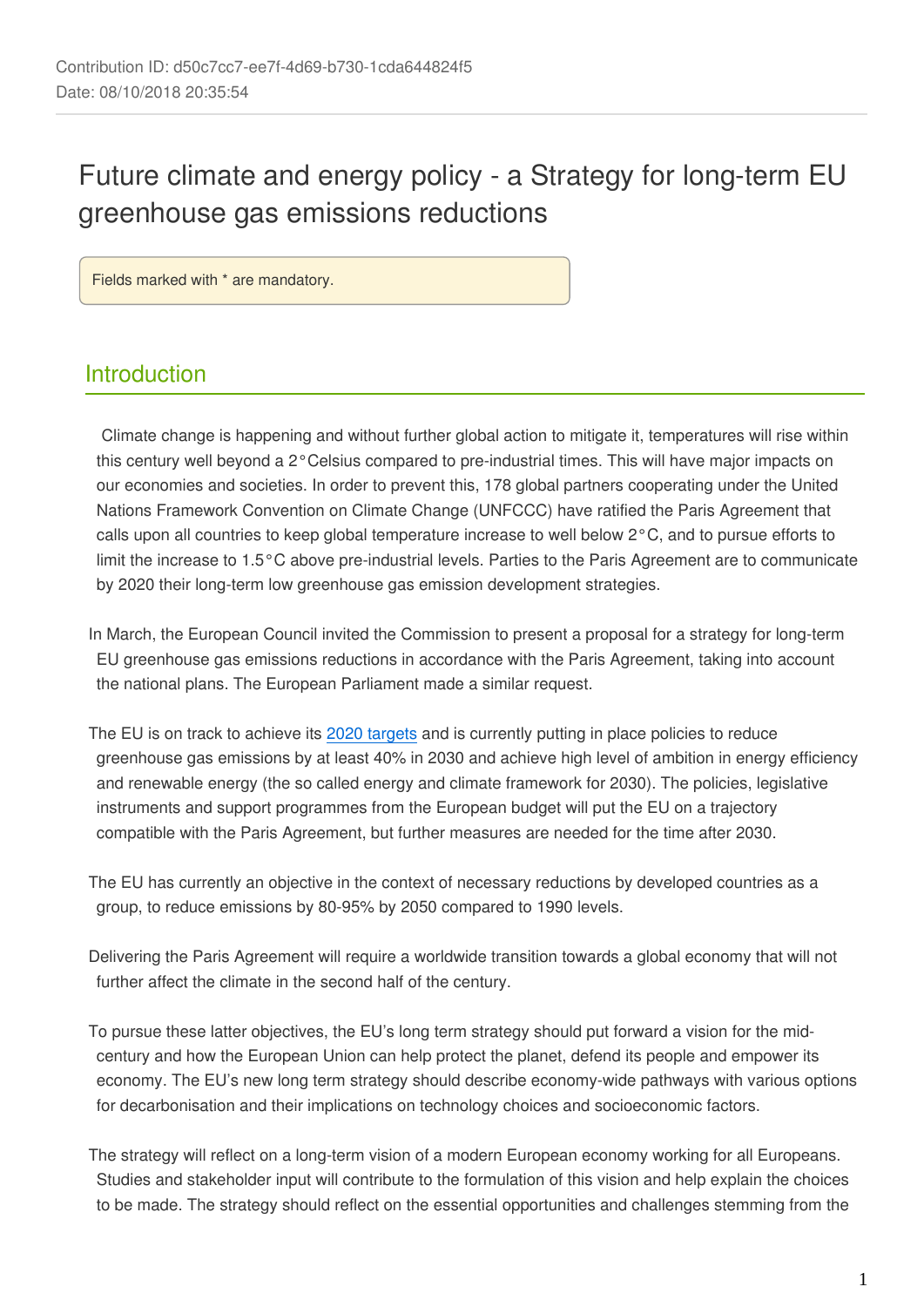# Future climate and energy policy - a Strategy for long-term EU greenhouse gas emissions reductions

Fields marked with \* are mandatory.

# Introduction

 Climate change is happening and without further global action to mitigate it, temperatures will rise within this century well beyond a 2°Celsius compared to pre-industrial times. This will have major impacts on our economies and societies. In order to prevent this, 178 global partners cooperating under the United Nations Framework Convention on Climate Change (UNFCCC) have ratified the Paris Agreement that calls upon all countries to keep global temperature increase to well below 2°C, and to pursue efforts to limit the increase to 1.5°C above pre-industrial levels. Parties to the Paris Agreement are to communicate by 2020 their long-term low greenhouse gas emission development strategies.

In March, the European Council invited the Commission to present a proposal for a strategy for long-term EU greenhouse gas emissions reductions in accordance with the Paris Agreement, taking into account the national plans. The European Parliament made a similar request.

The EU is on track to achieve its [2020 targets](https://ec.europa.eu/commission/sites/beta-political/files/third-report-state-energy-union_en.pdf) and is currently putting in place policies to reduce greenhouse gas emissions by at least 40% in 2030 and achieve high level of ambition in energy efficiency and renewable energy (the so called energy and climate framework for 2030). The policies, legislative instruments and support programmes from the European budget will put the EU on a trajectory compatible with the Paris Agreement, but further measures are needed for the time after 2030.

The EU has currently an objective in the context of necessary reductions by developed countries as a group, to reduce emissions by 80-95% by 2050 compared to 1990 levels.

Delivering the Paris Agreement will require a worldwide transition towards a global economy that will not further affect the climate in the second half of the century.

To pursue these latter objectives, the EU's long term strategy should put forward a vision for the midcentury and how the European Union can help protect the planet, defend its people and empower its economy. The EU's new long term strategy should describe economy-wide pathways with various options for decarbonisation and their implications on technology choices and socioeconomic factors.

The strategy will reflect on a long-term vision of a modern European economy working for all Europeans. Studies and stakeholder input will contribute to the formulation of this vision and help explain the choices to be made. The strategy should reflect on the essential opportunities and challenges stemming from the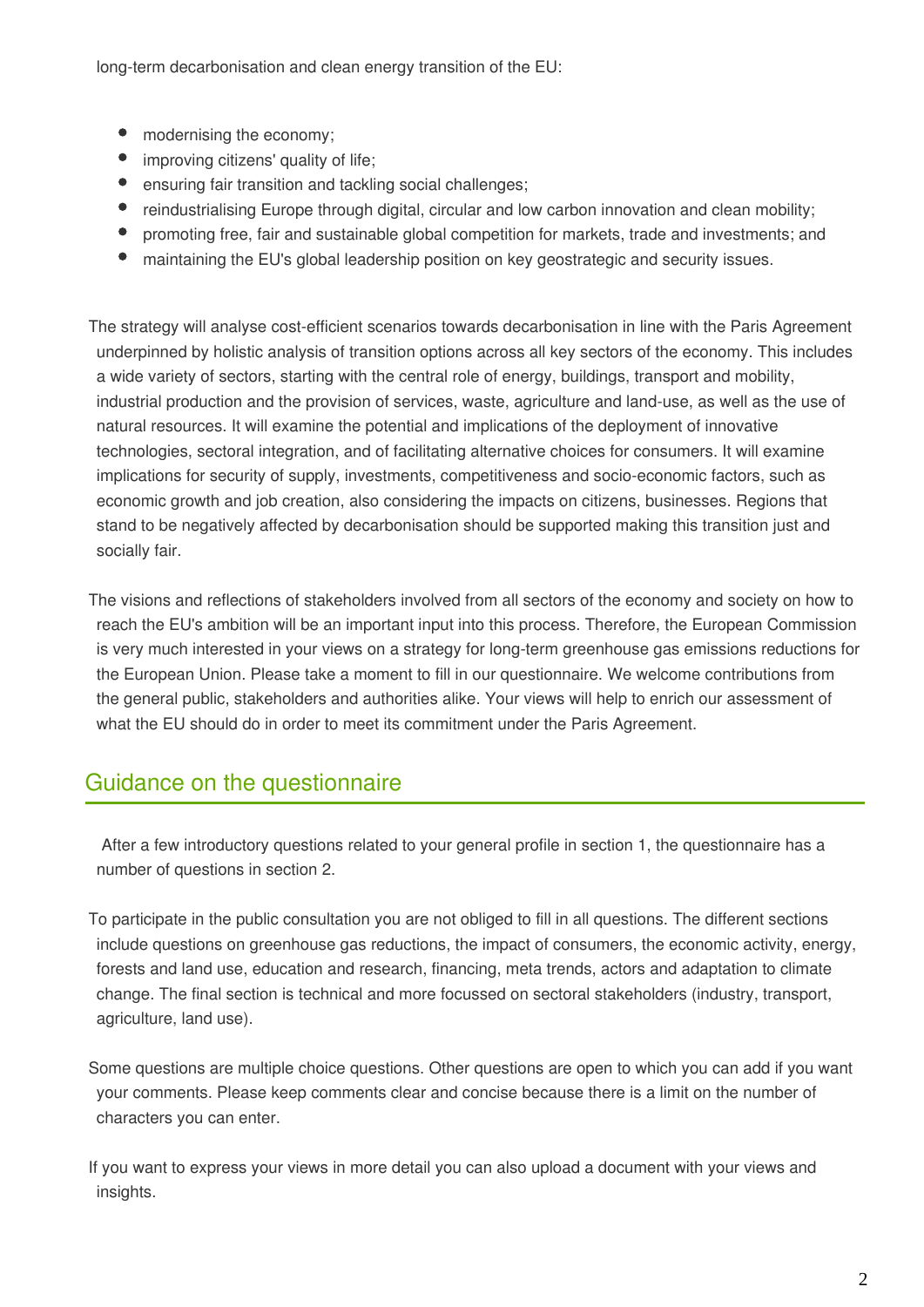long-term decarbonisation and clean energy transition of the EU:

- $\bullet$ modernising the economy;
- improving citizens' quality of life;
- $\bullet$ ensuring fair transition and tackling social challenges;
- $\bullet$ reindustrialising Europe through digital, circular and low carbon innovation and clean mobility;
- promoting free, fair and sustainable global competition for markets, trade and investments; and
- maintaining the EU's global leadership position on key geostrategic and security issues.

The strategy will analyse cost-efficient scenarios towards decarbonisation in line with the Paris Agreement underpinned by holistic analysis of transition options across all key sectors of the economy. This includes a wide variety of sectors, starting with the central role of energy, buildings, transport and mobility, industrial production and the provision of services, waste, agriculture and land-use, as well as the use of natural resources. It will examine the potential and implications of the deployment of innovative technologies, sectoral integration, and of facilitating alternative choices for consumers. It will examine implications for security of supply, investments, competitiveness and socio-economic factors, such as economic growth and job creation, also considering the impacts on citizens, businesses. Regions that stand to be negatively affected by decarbonisation should be supported making this transition just and socially fair.

The visions and reflections of stakeholders involved from all sectors of the economy and society on how to reach the EU's ambition will be an important input into this process. Therefore, the European Commission is very much interested in your views on a strategy for long-term greenhouse gas emissions reductions for the European Union. Please take a moment to fill in our questionnaire. We welcome contributions from the general public, stakeholders and authorities alike. Your views will help to enrich our assessment of what the EU should do in order to meet its commitment under the Paris Agreement.

# Guidance on the questionnaire

 After a few introductory questions related to your general profile in section 1, the questionnaire has a number of questions in section 2.

To participate in the public consultation you are not obliged to fill in all questions. The different sections include questions on greenhouse gas reductions, the impact of consumers, the economic activity, energy, forests and land use, education and research, financing, meta trends, actors and adaptation to climate change. The final section is technical and more focussed on sectoral stakeholders (industry, transport, agriculture, land use).

Some questions are multiple choice questions. Other questions are open to which you can add if you want your comments. Please keep comments clear and concise because there is a limit on the number of characters you can enter.

If you want to express your views in more detail you can also upload a document with your views and insights.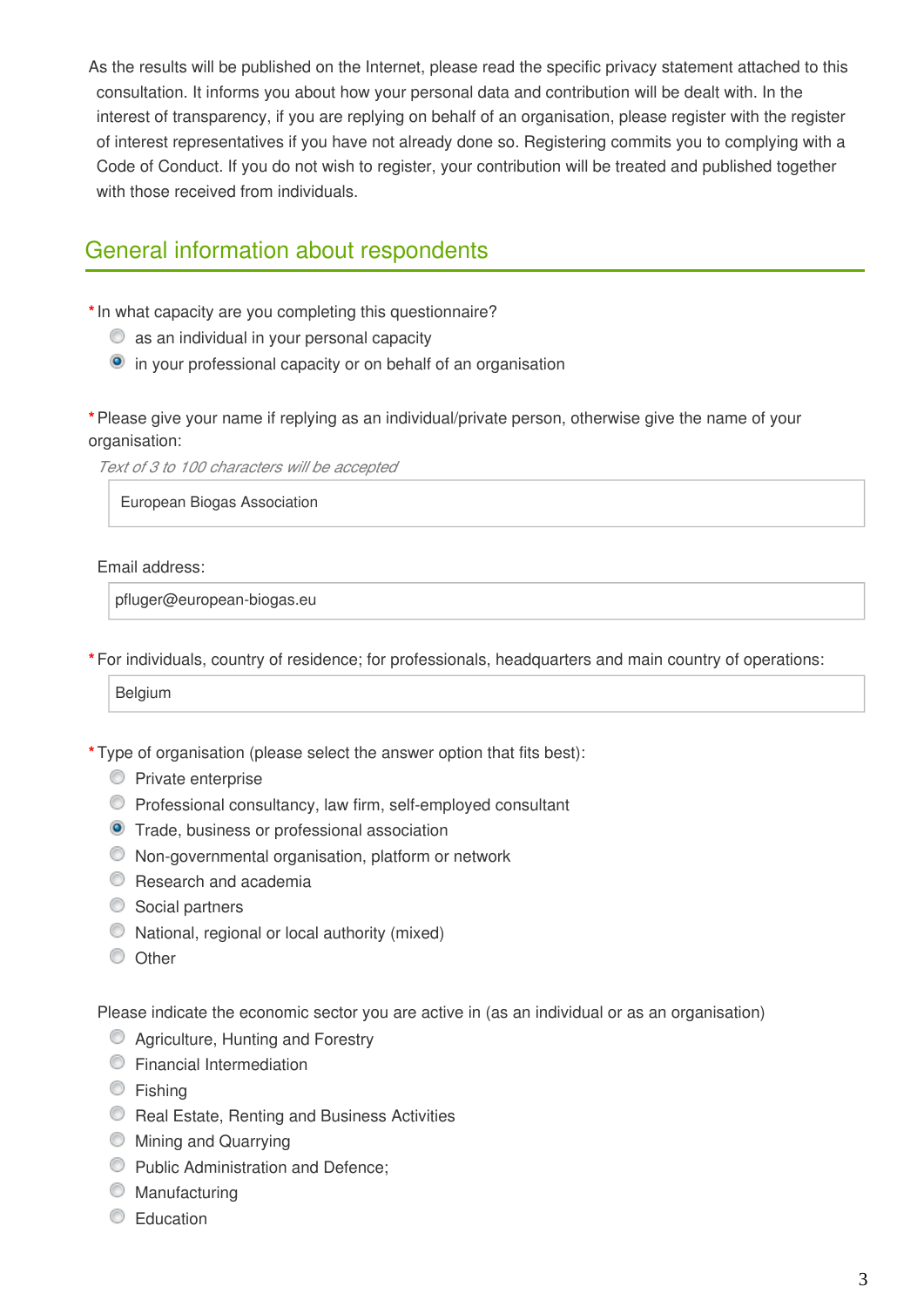As the results will be published on the Internet, please read the specific privacy statement attached to this consultation. It informs you about how your personal data and contribution will be dealt with. In the interest of transparency, if you are replying on behalf of an organisation, please register with the register of interest representatives if you have not already done so. Registering commits you to complying with a Code of Conduct. If you do not wish to register, your contribution will be treated and published together with those received from individuals.

# General information about respondents

**\***In what capacity are you completing this questionnaire?

- $\bullet$  as an individual in your personal capacity
- in your professional capacity or on behalf of an organisation

**\***Please give your name if replying as an individual/private person, otherwise give the name of your organisation:

*Text of 3 to 100 characters will be accepted*

European Biogas Association

Email address:

pfluger@european-biogas.eu

**\***For individuals, country of residence; for professionals, headquarters and main country of operations:

Belgium

**\***Type of organisation (please select the answer option that fits best):

- **Private enterprise**
- Professional consultancy, law firm, self-employed consultant
- **O** Trade, business or professional association
- Non-governmental organisation, platform or network
- **C** Research and academia
- Social partners
- National, regional or local authority (mixed)
- $\circledcirc$  Other

Please indicate the economic sector you are active in (as an individual or as an organisation)

- **C** Agriculture, Hunting and Forestry
- **C** Financial Intermediation
- **Eishing**
- **C** Real Estate, Renting and Business Activities
- **Mining and Quarrying**
- **Public Administration and Defence:**
- **Manufacturing**
- C Education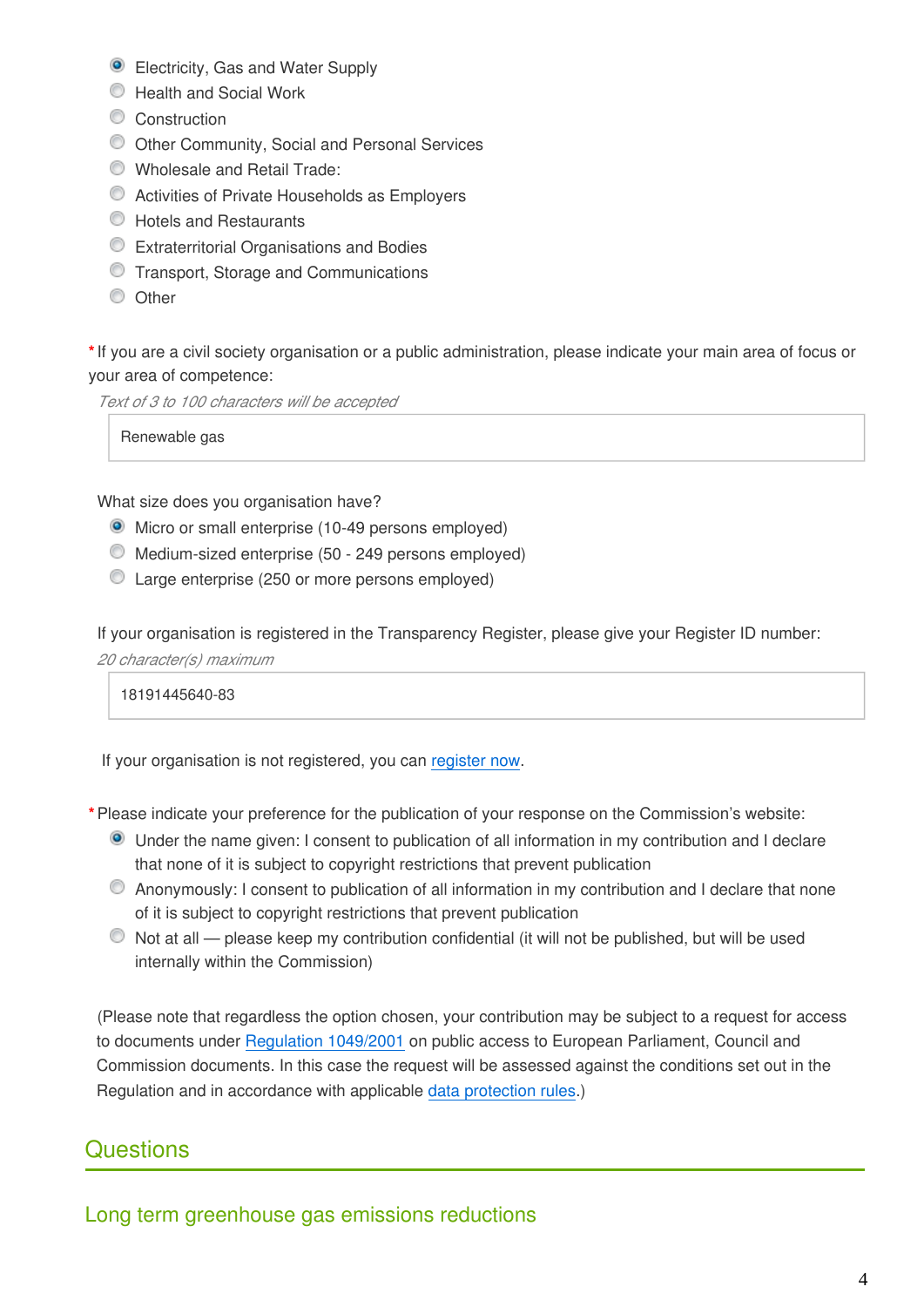- **Electricity, Gas and Water Supply**
- **EXECUTE:** Health and Social Work
- Construction
- Other Community, Social and Personal Services
- Wholesale and Retail Trade:
- Activities of Private Households as Employers
- **C** Hotels and Restaurants
- Extraterritorial Organisations and Bodies
- **C** Transport, Storage and Communications
- **O** Other

**\***If you are a civil society organisation or a public administration, please indicate your main area of focus or your area of competence:

*Text of 3 to 100 characters will be accepted*

Renewable gas

What size does you organisation have?

- Micro or small enterprise (10-49 persons employed)
- Medium-sized enterprise (50 249 persons employed)
- Large enterprise (250 or more persons employed)

If your organisation is registered in the Transparency Register, please give your Register ID number: *20 character(s) maximum*

18191445640-83

If your organisation is not registered, you can [register now](http://ec.europa.eu/transparencyregister/public/ri/registering.do?locale=en#en).

**\***Please indicate your preference for the publication of your response on the Commission's website:

- Under the name given: I consent to publication of all information in my contribution and I declare that none of it is subject to copyright restrictions that prevent publication
- Anonymously: I consent to publication of all information in my contribution and I declare that none of it is subject to copyright restrictions that prevent publication
- Not at all please keep my contribution confidential (it will not be published, but will be used internally within the Commission)

(Please note that regardless the option chosen, your contribution may be subject to a request for access to documents under [Regulation 1049/2001](http://eur-lex.europa.eu/legal-content/EN/TXT/?uri=CELEX:32001R1049) on public access to European Parliament, Council and Commission documents. In this case the request will be assessed against the conditions set out in the Regulation and in accordance with applicable [data protection rules](http://ec.europa.eu/justice/data-protection/).)

# Questions

Long term greenhouse gas emissions reductions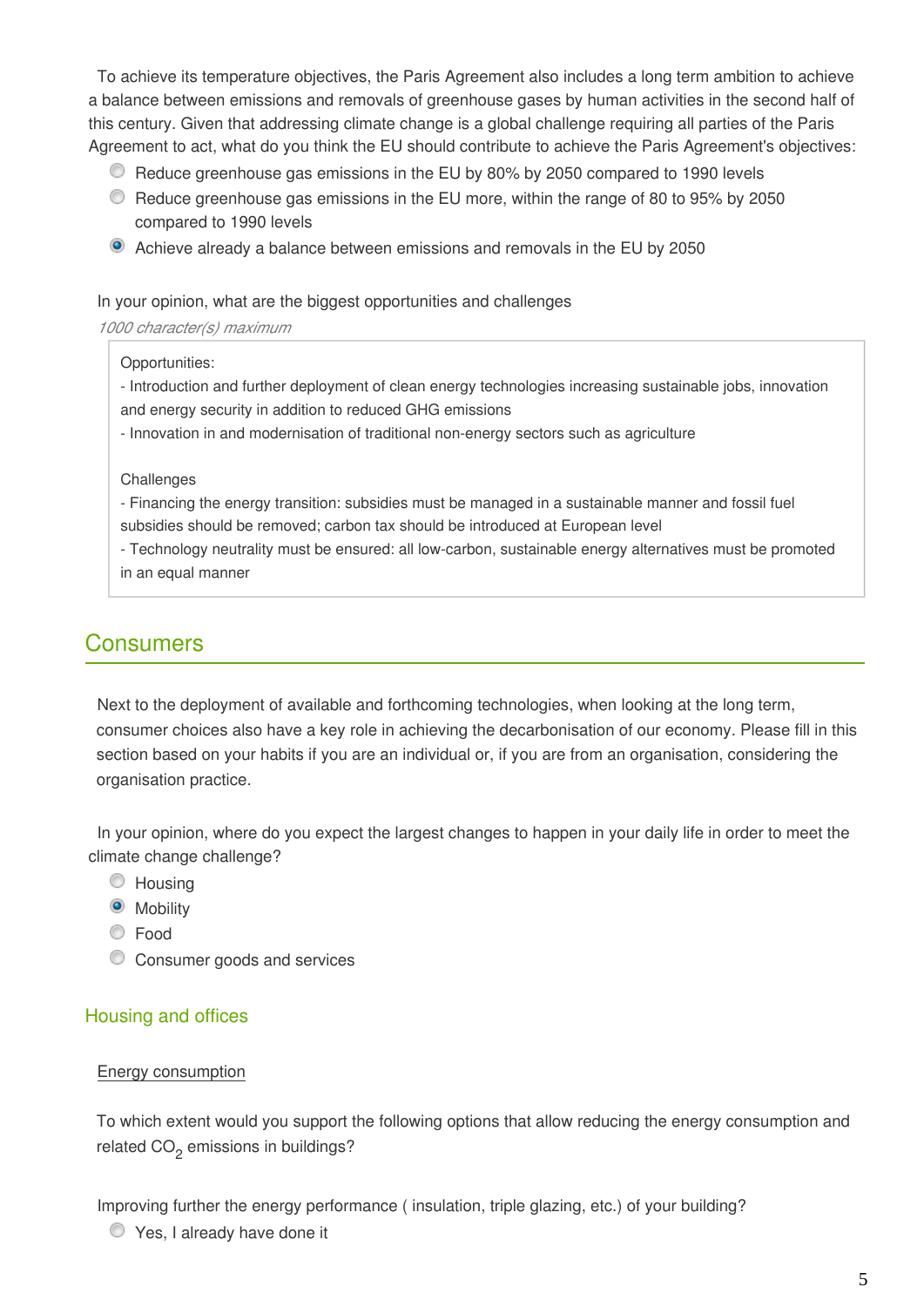To achieve its temperature objectives, the Paris Agreement also includes a long term ambition to achieve a balance between emissions and removals of greenhouse gases by human activities in the second half of this century. Given that addressing climate change is a global challenge requiring all parties of the Paris Agreement to act, what do you think the EU should contribute to achieve the Paris Agreement's objectives:

- Reduce greenhouse gas emissions in the EU by 80% by 2050 compared to 1990 levels
- Reduce greenhouse gas emissions in the EU more, within the range of 80 to 95% by 2050 compared to 1990 levels
- Achieve already a balance between emissions and removals in the EU by 2050

### In your opinion, what are the biggest opportunities and challenges

#### *1000 character(s) maximum*

#### Opportunities:

- Introduction and further deployment of clean energy technologies increasing sustainable jobs, innovation and energy security in addition to reduced GHG emissions

- Innovation in and modernisation of traditional non-energy sectors such as agriculture

#### **Challenges**

- Financing the energy transition: subsidies must be managed in a sustainable manner and fossil fuel subsidies should be removed; carbon tax should be introduced at European level

- Technology neutrality must be ensured: all low-carbon, sustainable energy alternatives must be promoted in an equal manner

# **Consumers**

Next to the deployment of available and forthcoming technologies, when looking at the long term, consumer choices also have a key role in achieving the decarbonisation of our economy. Please fill in this section based on your habits if you are an individual or, if you are from an organisation, considering the organisation practice.

In your opinion, where do you expect the largest changes to happen in your daily life in order to meet the climate change challenge?

- C Housing
- **O** Mobility
- Food
- **C** Consumer goods and services

### Housing and offices

#### Energy consumption

To which extent would you support the following options that allow reducing the energy consumption and related CO<sub>2</sub> emissions in buildings?

Improving further the energy performance ( insulation, triple glazing, etc.) of your building?

**C** Yes, I already have done it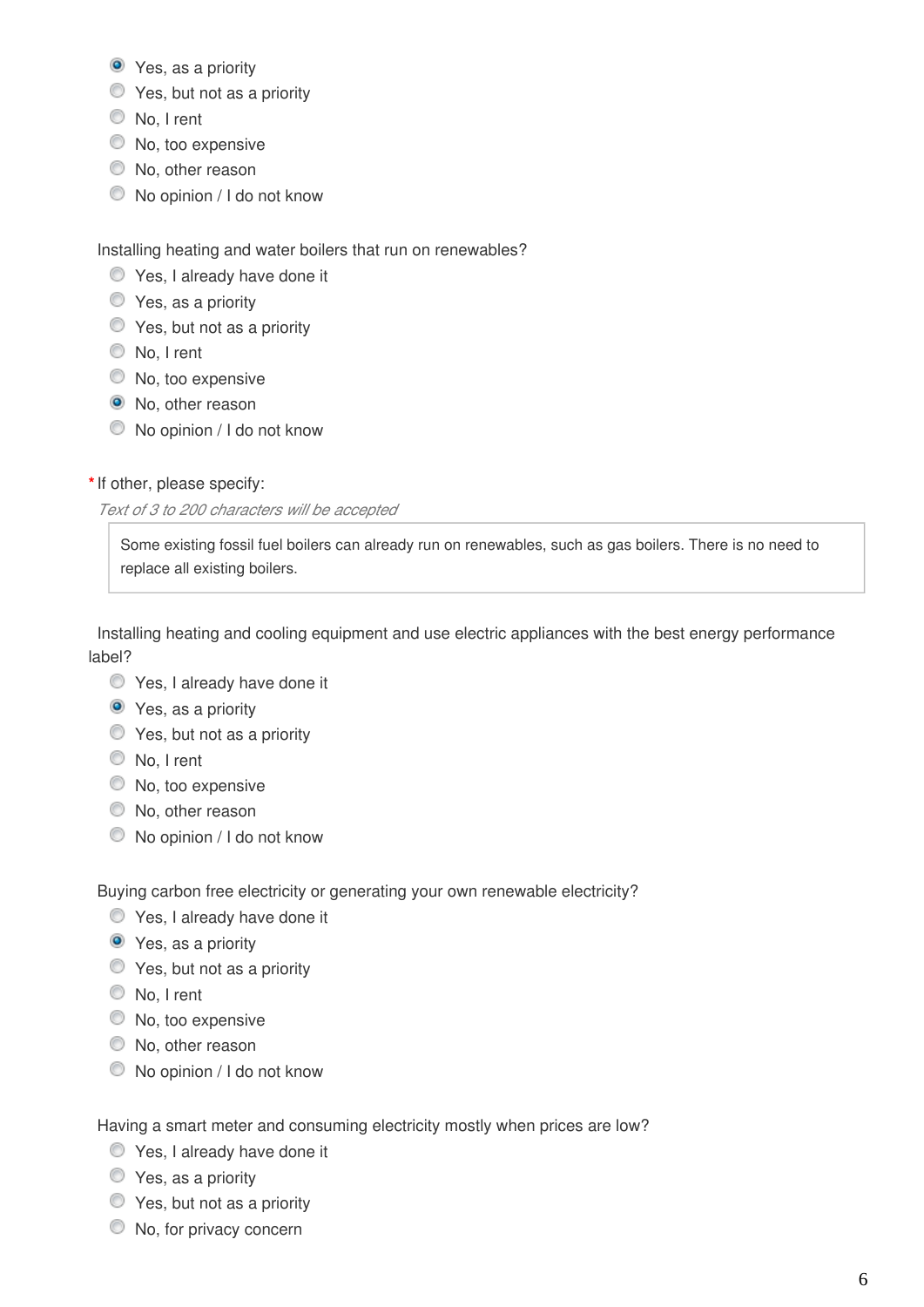- **O** Yes, as a priority
- **C** Yes, but not as a priority
- $\bullet$  No, I rent
- $\bullet$  No, too expensive
- $\bullet$  No, other reason
- $\bullet$  No opinion / I do not know

Installing heating and water boilers that run on renewables?

- Yes, I already have done it
- **C** Yes, as a priority
- $\bullet$  Yes, but not as a priority
- $\circledcirc$  No, I rent
- $\bullet$  No, too expensive
- <sup>O</sup> No. other reason
- $\bullet$  No opinion / I do not know

#### **\***If other, please specify:

*Text of 3 to 200 characters will be accepted*

Some existing fossil fuel boilers can already run on renewables, such as gas boilers. There is no need to replace all existing boilers.

Installing heating and cooling equipment and use electric appliances with the best energy performance label?

- **S** Yes, I already have done it
- **O** Yes, as a priority
- **C** Yes, but not as a priority
- $\bullet$  No, I rent
- $\bullet$  No, too expensive
- $\bullet$  No, other reason
- $\bullet$  No opinion / I do not know

Buying carbon free electricity or generating your own renewable electricity?

- **Yes, I already have done it**
- **O** Yes, as a priority
- Yes, but not as a priority
- $\circledcirc$  No, I rent
- $\bullet$  No, too expensive
- $\bullet$  No, other reason
- $\bullet$  No opinion / I do not know

Having a smart meter and consuming electricity mostly when prices are low?

- Yes, I already have done it
- Yes, as a priority
- $\bullet$  Yes, but not as a priority
- $\bullet$  No, for privacy concern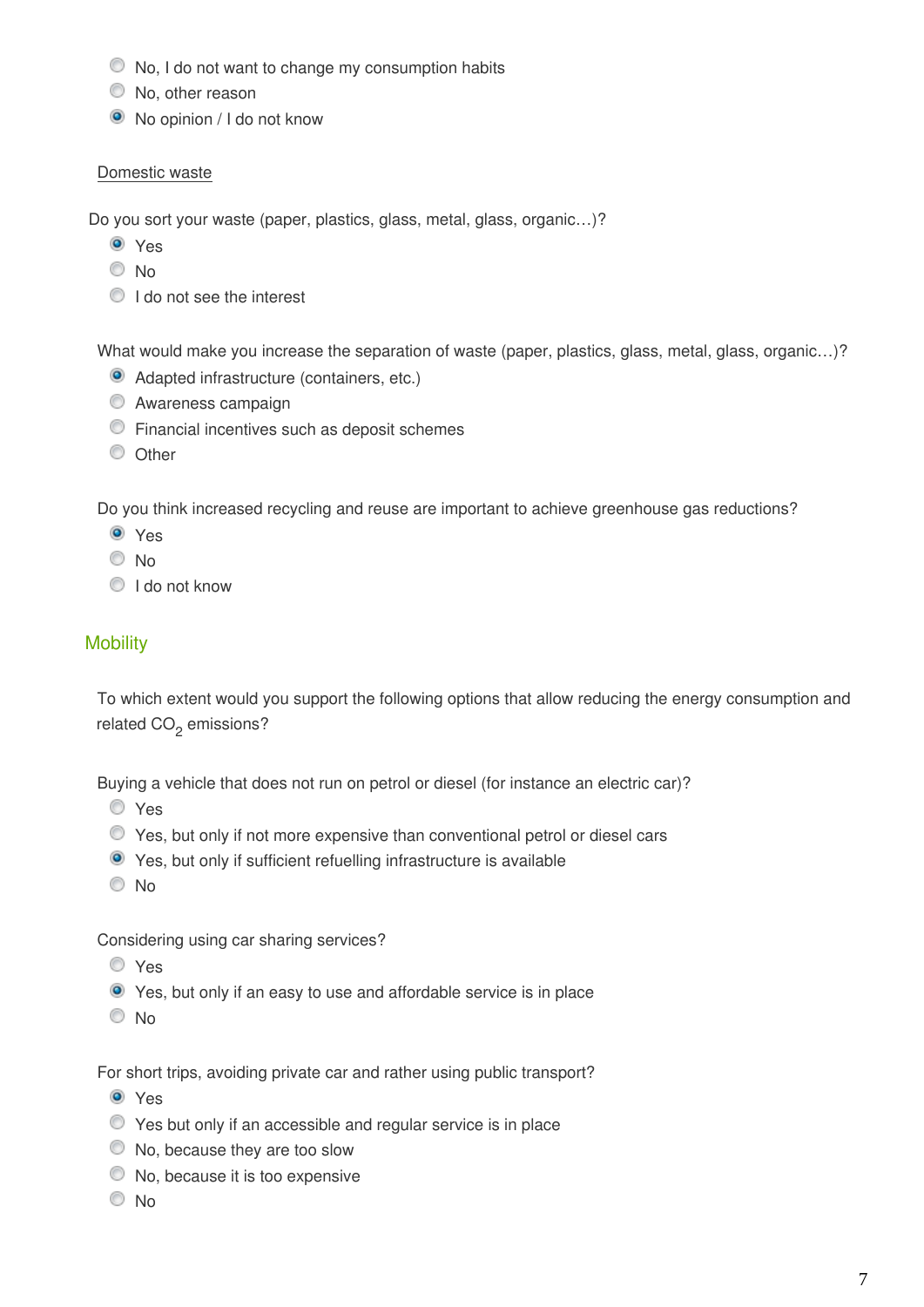- $\bullet$  No, I do not want to change my consumption habits
- $\bullet$  No, other reason
- $\bullet$  No opinion / I do not know

#### Domestic waste

Do you sort your waste (paper, plastics, glass, metal, glass, organic…)?

- **O** Yes
- $\odot$  No
- I do not see the interest

What would make you increase the separation of waste (paper, plastics, glass, metal, glass, organic...)?

- Adapted infrastructure (containers, etc.)
- **C** Awareness campaign
- Financial incentives such as deposit schemes
- **O** Other

Do you think increased recycling and reuse are important to achieve greenhouse gas reductions?

- Yes
- © No
- <sup>1</sup> I do not know

### **Mobility**

To which extent would you support the following options that allow reducing the energy consumption and related CO<sub>2</sub> emissions?

Buying a vehicle that does not run on petrol or diesel (for instance an electric car)?

- Yes
- Yes, but only if not more expensive than conventional petrol or diesel cars
- Yes, but only if sufficient refuelling infrastructure is available
- No

Considering using car sharing services?

- Yes
- Yes, but only if an easy to use and affordable service is in place
- No

For short trips, avoiding private car and rather using public transport?

- <sup>O</sup> Yes
- Yes but only if an accessible and regular service is in place
- $\bullet$  No, because they are too slow
- $\bullet$  No, because it is too expensive
- No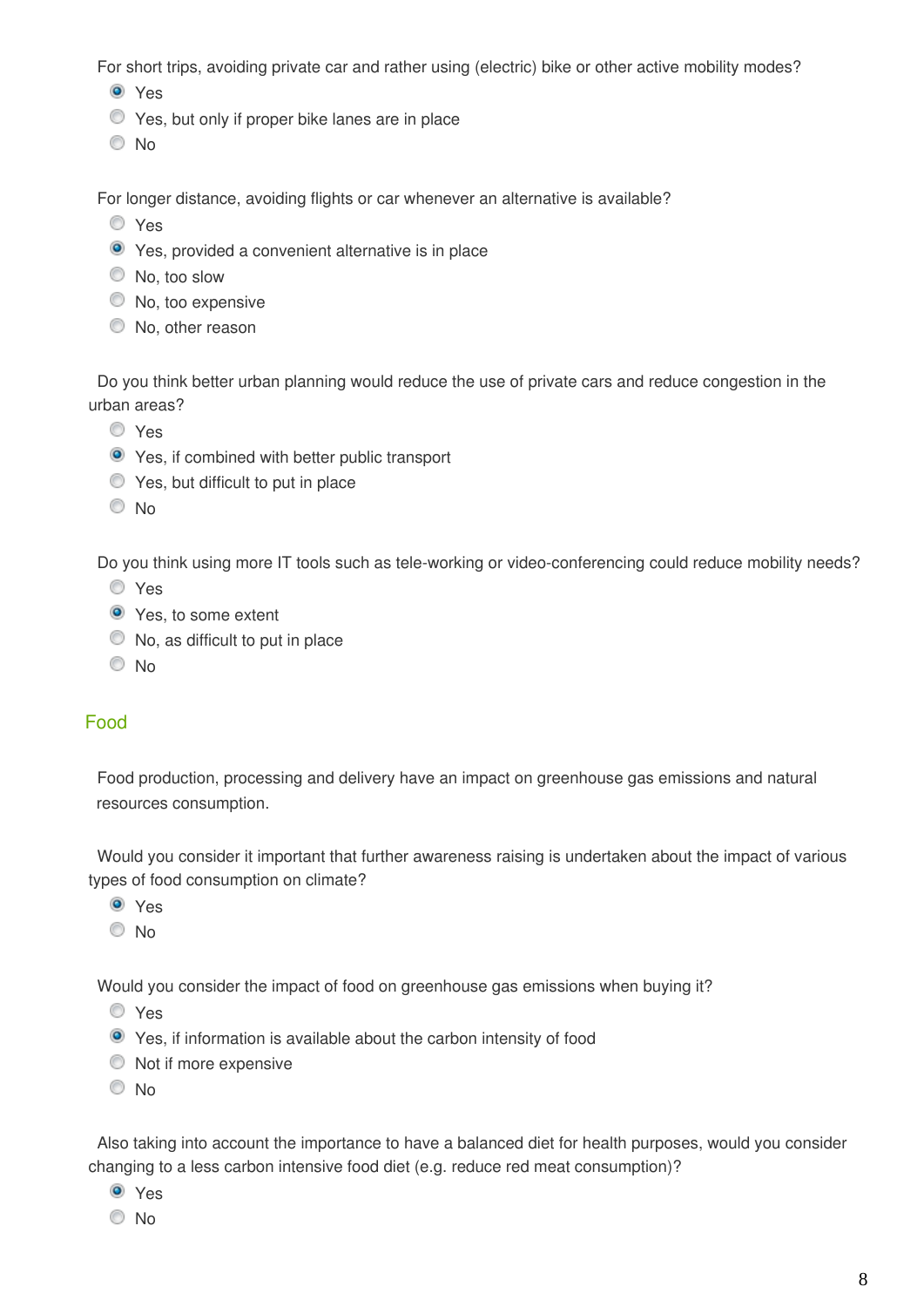For short trips, avoiding private car and rather using (electric) bike or other active mobility modes?

- Yes
- Yes, but only if proper bike lanes are in place
- $\odot$  No

For longer distance, avoiding flights or car whenever an alternative is available?

- Yes
- Yes, provided a convenient alternative is in place
- $\bullet$  No, too slow
- $\bullet$  No, too expensive
- $\bullet$  No, other reason

Do you think better urban planning would reduce the use of private cars and reduce congestion in the urban areas?

- Yes
- Yes, if combined with better public transport
- $\bullet$  Yes, but difficult to put in place
- © No

Do you think using more IT tools such as tele-working or video-conferencing could reduce mobility needs?

- O Yes
- **O** Yes, to some extent
- $\bullet$  No, as difficult to put in place
- © No

### Food

Food production, processing and delivery have an impact on greenhouse gas emissions and natural resources consumption.

Would you consider it important that further awareness raising is undertaken about the impact of various types of food consumption on climate?

- Yes
- © No

Would you consider the impact of food on greenhouse gas emissions when buying it?

Yes

- Yes, if information is available about the carbon intensity of food
- $\bullet$  Not if more expensive
- No

Also taking into account the importance to have a balanced diet for health purposes, would you consider changing to a less carbon intensive food diet (e.g. reduce red meat consumption)?

- Yes
- © No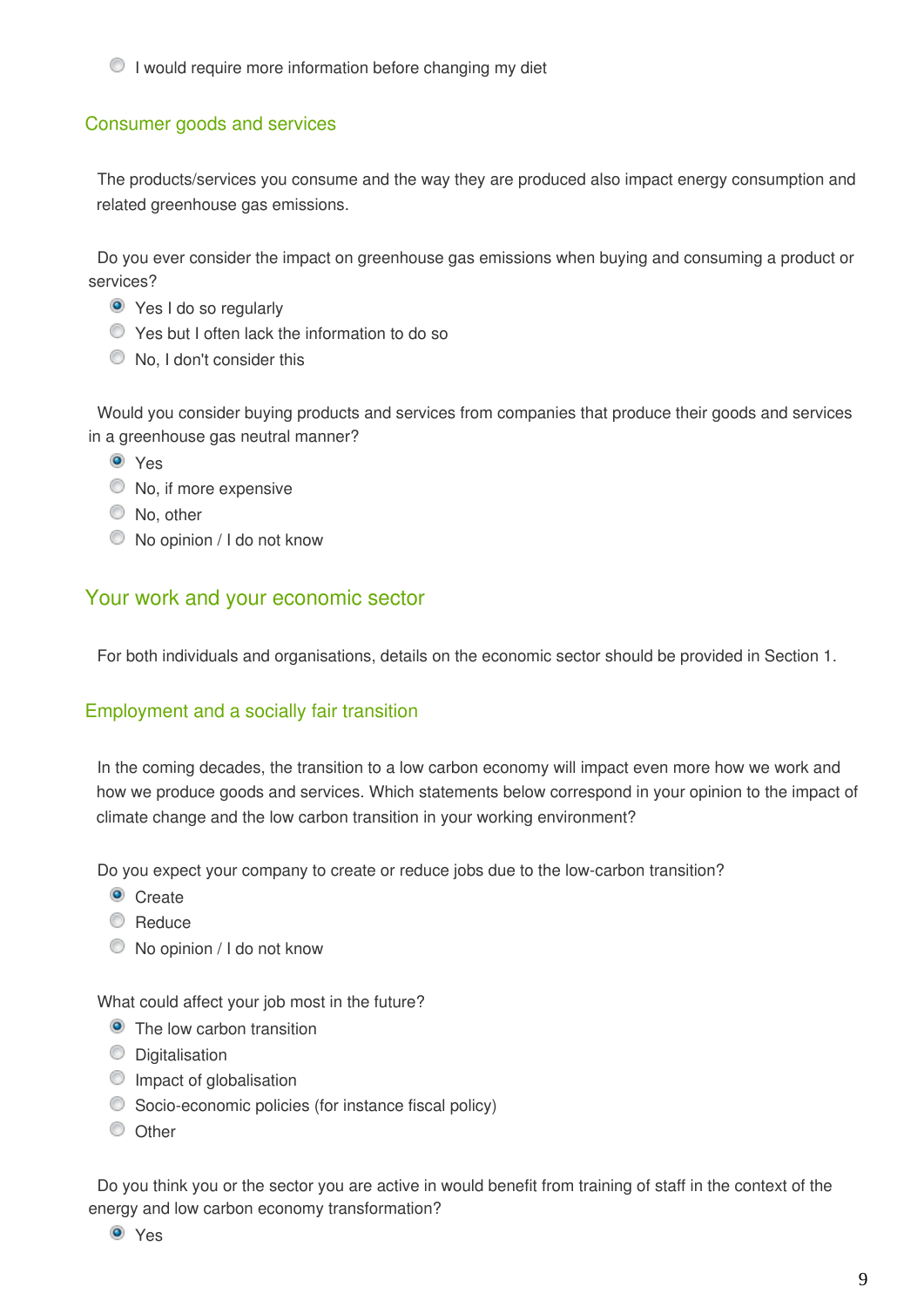I would require more information before changing my diet

### Consumer goods and services

The products/services you consume and the way they are produced also impact energy consumption and related greenhouse gas emissions.

Do you ever consider the impact on greenhouse gas emissions when buying and consuming a product or services?

- **O** Yes I do so regularly
- Yes but I often lack the information to do so
- $\bullet$  No, I don't consider this

Would you consider buying products and services from companies that produce their goods and services in a greenhouse gas neutral manner?

- **O** Yes
- $\bullet$  No, if more expensive
- $\bullet$  No. other
- $\bullet$  No opinion / I do not know

### Your work and your economic sector

For both individuals and organisations, details on the economic sector should be provided in Section 1.

### Employment and a socially fair transition

In the coming decades, the transition to a low carbon economy will impact even more how we work and how we produce goods and services. Which statements below correspond in your opinion to the impact of climate change and the low carbon transition in your working environment?

Do you expect your company to create or reduce jobs due to the low-carbon transition?

- Create
- C Reduce
- $\bullet$  No opinion / I do not know

What could affect your job most in the future?

- **O** The low carbon transition
- **O** Digitalisation
- **Impact of globalisation**
- Socio-economic policies (for instance fiscal policy)
- **O** Other

Do you think you or the sector you are active in would benefit from training of staff in the context of the energy and low carbon economy transformation?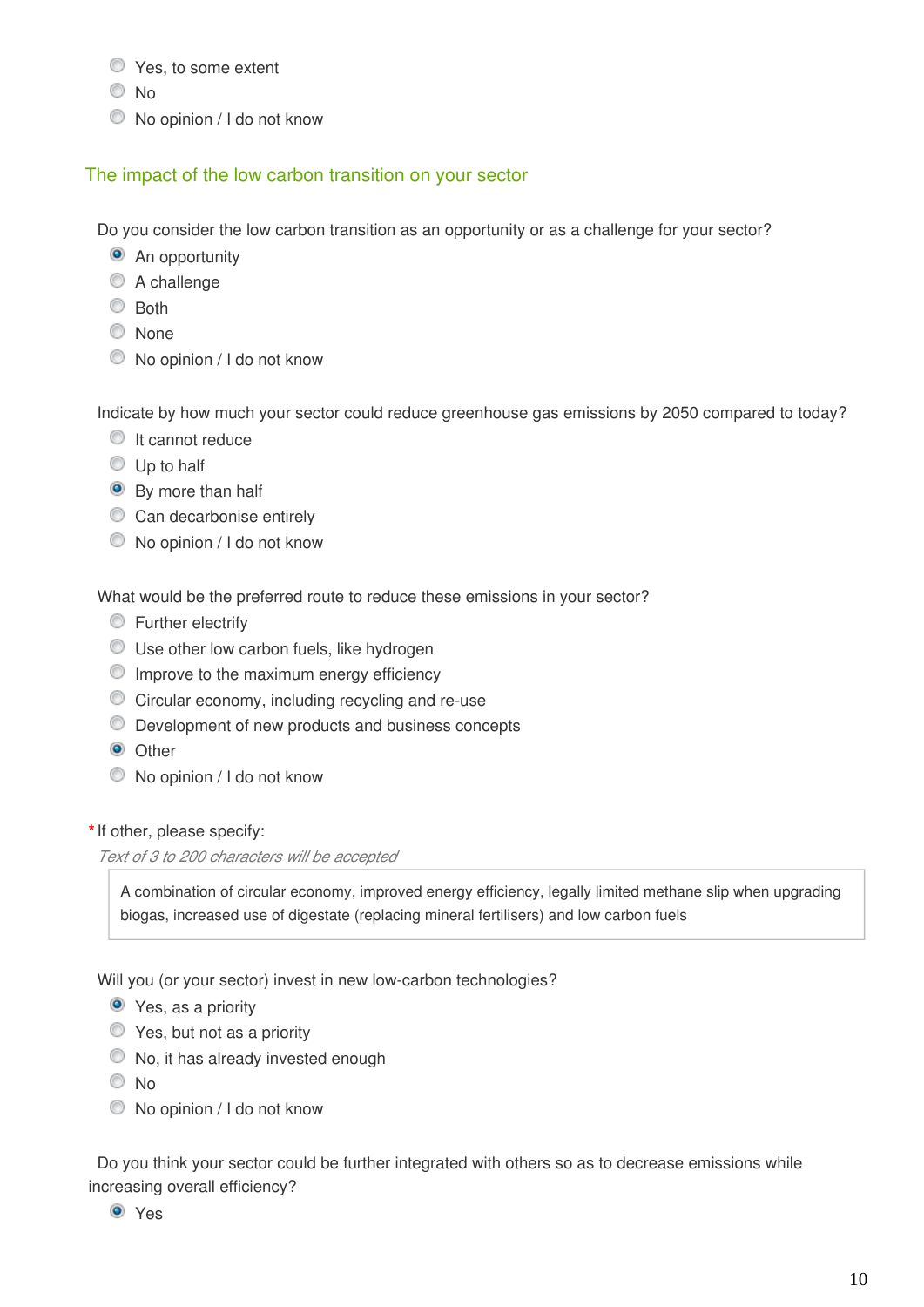- $\bullet$  Yes, to some extent
- © No
- $\bullet$  No opinion / I do not know

#### The impact of the low carbon transition on your sector

Do you consider the low carbon transition as an opportunity or as a challenge for your sector?

- **•** An opportunity
- C A challenge
- C Both
- None
- $\bullet$  No opinion / I do not know

Indicate by how much your sector could reduce greenhouse gas emissions by 2050 compared to today?

- **It cannot reduce**
- Up to half
- **By more than half**
- Can decarbonise entirely
- $\bullet$  No opinion / I do not know

What would be the preferred route to reduce these emissions in your sector?

- **Eurther electrify**
- Use other low carbon fuels, like hydrogen
- **Improve to the maximum energy efficiency**
- Circular economy, including recycling and re-use
- Development of new products and business concepts
- **O** Other
- $\bullet$  No opinion / I do not know

#### **\***If other, please specify:

*Text of 3 to 200 characters will be accepted*

A combination of circular economy, improved energy efficiency, legally limited methane slip when upgrading biogas, increased use of digestate (replacing mineral fertilisers) and low carbon fuels

Will you (or your sector) invest in new low-carbon technologies?

**•** Yes, as a priority

- **C** Yes, but not as a priority
- $\bullet$  No, it has already invested enough
- No
- $\bullet$  No opinion / I do not know

Do you think your sector could be further integrated with others so as to decrease emissions while increasing overall efficiency?

Yes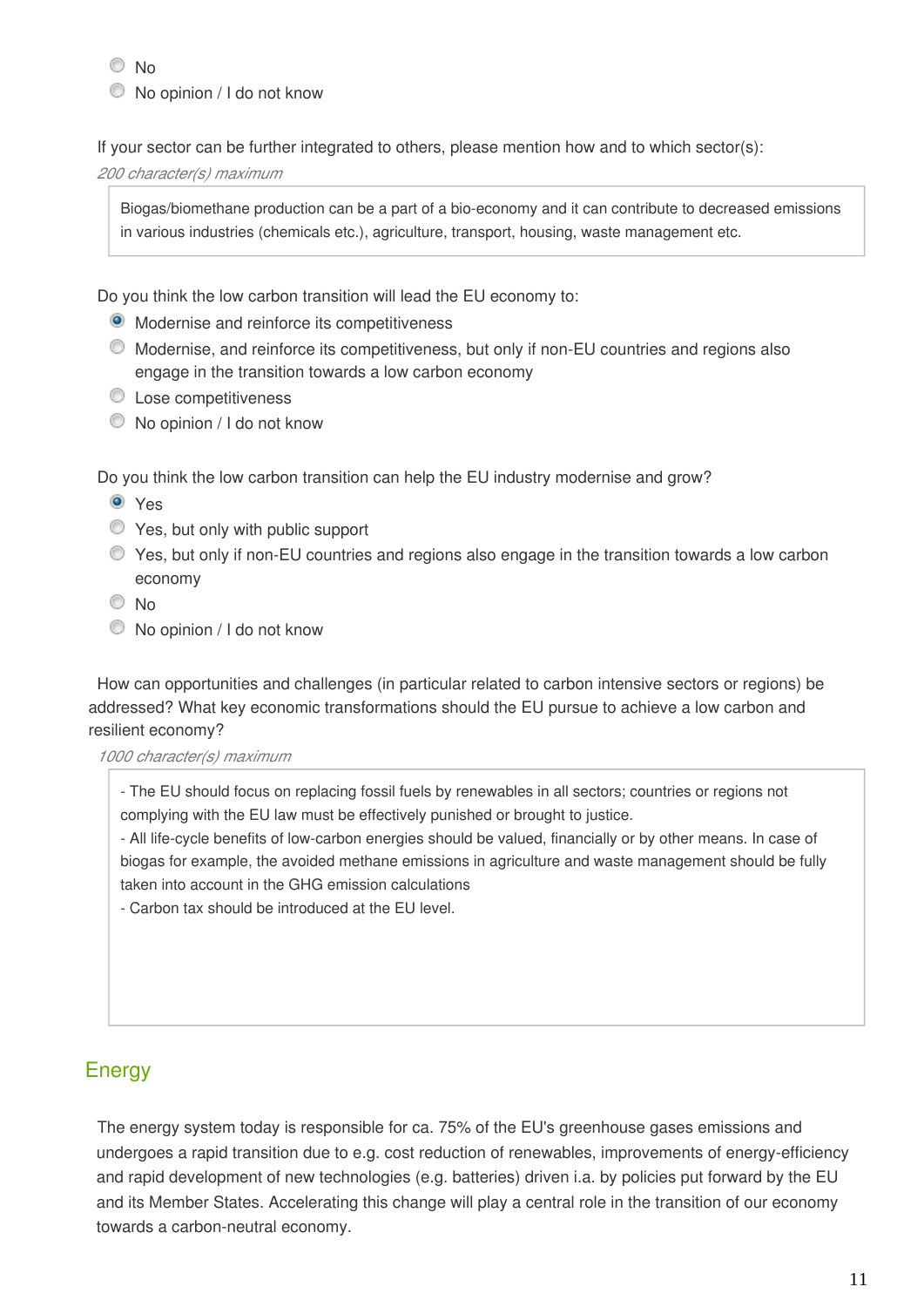© No

 $\bullet$  No opinion / I do not know

If your sector can be further integrated to others, please mention how and to which sector(s):

*200 character(s) maximum*

Biogas/biomethane production can be a part of a bio-economy and it can contribute to decreased emissions in various industries (chemicals etc.), agriculture, transport, housing, waste management etc.

Do you think the low carbon transition will lead the EU economy to:

- Modernise and reinforce its competitiveness
- Modernise, and reinforce its competitiveness, but only if non-EU countries and regions also engage in the transition towards a low carbon economy
- **C** Lose competitiveness
- $\bullet$  No opinion / I do not know

Do you think the low carbon transition can help the EU industry modernise and grow?

- <sup>O</sup> Yes
- $\bullet$  Yes, but only with public support
- Yes, but only if non-EU countries and regions also engage in the transition towards a low carbon economy
- No
- $\bullet$  No opinion / I do not know

How can opportunities and challenges (in particular related to carbon intensive sectors or regions) be addressed? What key economic transformations should the EU pursue to achieve a low carbon and resilient economy?

*1000 character(s) maximum*

- The EU should focus on replacing fossil fuels by renewables in all sectors; countries or regions not complying with the EU law must be effectively punished or brought to justice.

- All life-cycle benefits of low-carbon energies should be valued, financially or by other means. In case of biogas for example, the avoided methane emissions in agriculture and waste management should be fully taken into account in the GHG emission calculations

- Carbon tax should be introduced at the EU level.

## Energy

The energy system today is responsible for ca. 75% of the EU's greenhouse gases emissions and undergoes a rapid transition due to e.g. cost reduction of renewables, improvements of energy-efficiency and rapid development of new technologies (e.g. batteries) driven i.a. by policies put forward by the EU and its Member States. Accelerating this change will play a central role in the transition of our economy towards a carbon-neutral economy.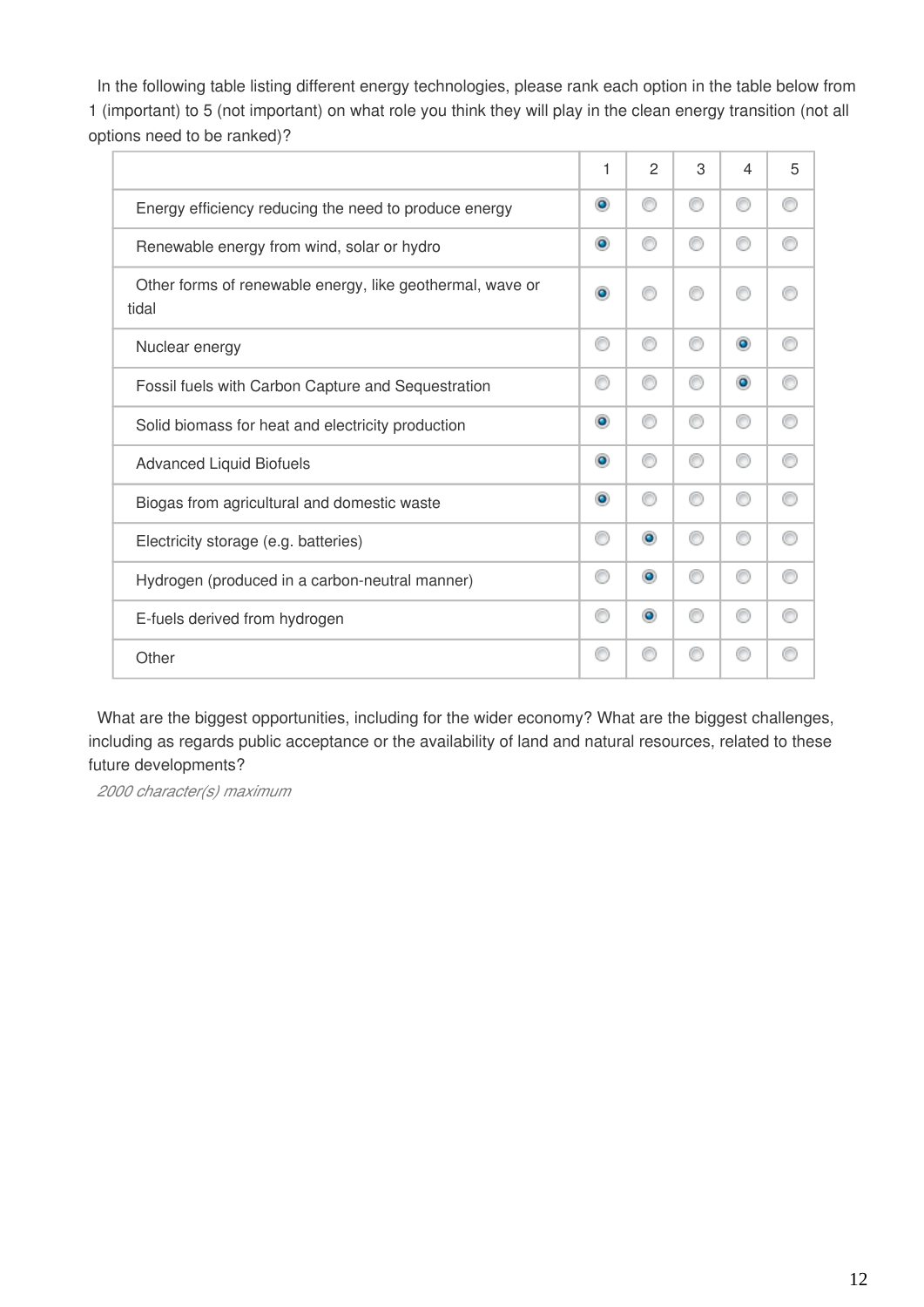In the following table listing different energy technologies, please rank each option in the table below from 1 (important) to 5 (not important) on what role you think they will play in the clean energy transition (not all options need to be ranked)?

|                                                                    | 1              | $\overline{2}$ | 3 | $\overline{\mathcal{A}}$ | 5 |
|--------------------------------------------------------------------|----------------|----------------|---|--------------------------|---|
| Energy efficiency reducing the need to produce energy              | $\bullet$      | ⋒              | ⋒ | ⋒                        |   |
| Renewable energy from wind, solar or hydro                         | $\circledcirc$ | ⋒              | ⋒ |                          |   |
| Other forms of renewable energy, like geothermal, wave or<br>tidal | $\bullet$      |                |   |                          |   |
| Nuclear energy                                                     | ∩              | ⋒              |   | $\bullet$                |   |
| Fossil fuels with Carbon Capture and Sequestration                 | ∩              |                |   | $\bullet$                |   |
| Solid biomass for heat and electricity production                  | $\bullet$      |                |   |                          |   |
| <b>Advanced Liquid Biofuels</b>                                    | $\bullet$      | ⋒              |   |                          |   |
| Biogas from agricultural and domestic waste                        | $\bullet$      | ⋒              | ⋒ |                          |   |
| Electricity storage (e.g. batteries)                               | ⋒              | $\bullet$      | ⋒ |                          |   |
| Hydrogen (produced in a carbon-neutral manner)                     | ⋒              | $\bullet$      | ⋒ |                          |   |
| E-fuels derived from hydrogen                                      | ∩              | $\bullet$      |   |                          |   |
| Other                                                              | ⋒              |                |   |                          |   |

What are the biggest opportunities, including for the wider economy? What are the biggest challenges, including as regards public acceptance or the availability of land and natural resources, related to these future developments?

*2000 character(s) maximum*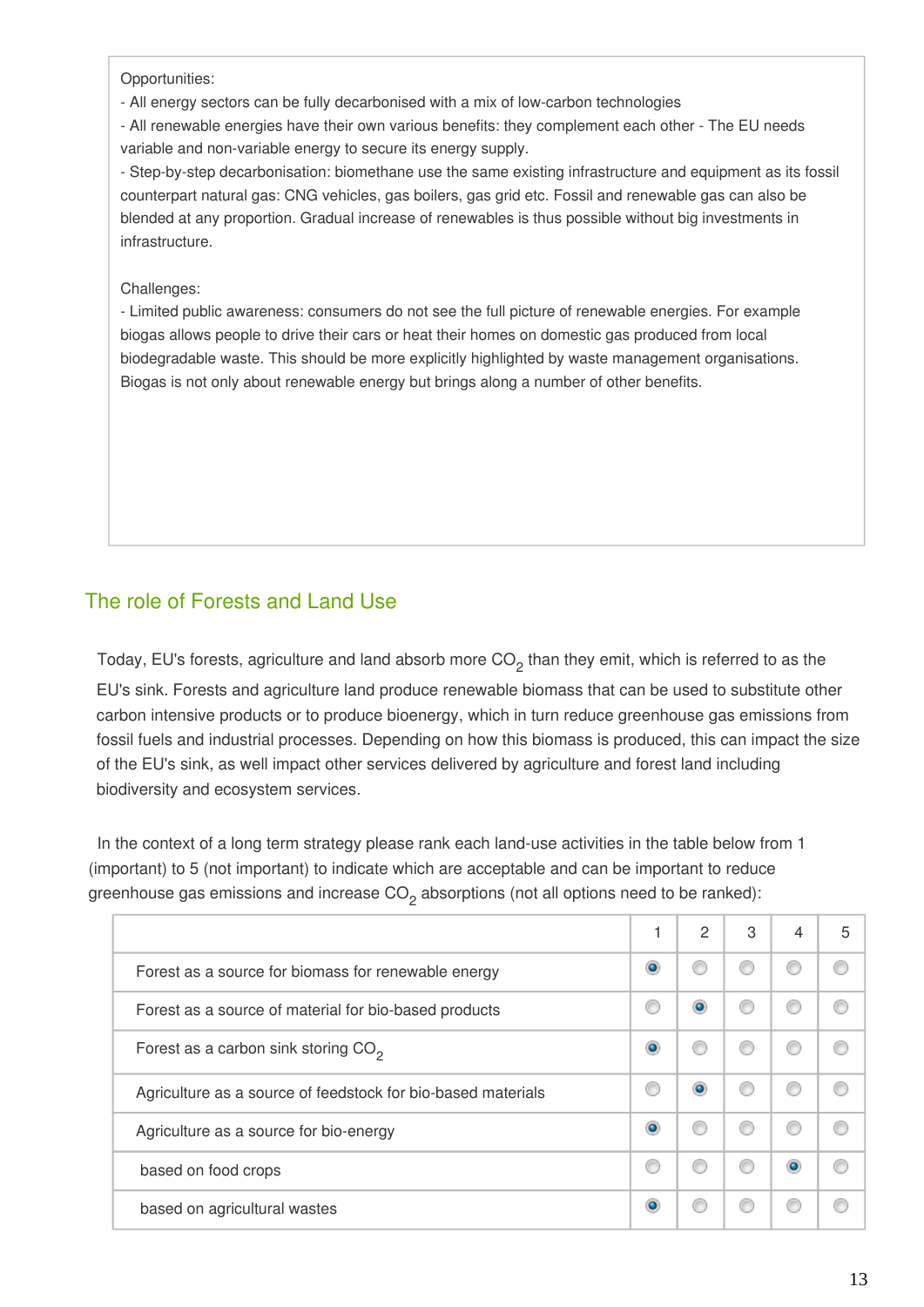Opportunities:

- All energy sectors can be fully decarbonised with a mix of low-carbon technologies

- All renewable energies have their own various benefits: they complement each other - The EU needs variable and non-variable energy to secure its energy supply.

- Step-by-step decarbonisation: biomethane use the same existing infrastructure and equipment as its fossil counterpart natural gas: CNG vehicles, gas boilers, gas grid etc. Fossil and renewable gas can also be blended at any proportion. Gradual increase of renewables is thus possible without big investments in infrastructure.

Challenges:

- Limited public awareness: consumers do not see the full picture of renewable energies. For example biogas allows people to drive their cars or heat their homes on domestic gas produced from local biodegradable waste. This should be more explicitly highlighted by waste management organisations. Biogas is not only about renewable energy but brings along a number of other benefits.

## The role of Forests and Land Use

Today, EU's forests, agriculture and land absorb more  $CO<sub>2</sub>$  than they emit, which is referred to as the EU's sink. Forests and agriculture land produce renewable biomass that can be used to substitute other carbon intensive products or to produce bioenergy, which in turn reduce greenhouse gas emissions from fossil fuels and industrial processes. Depending on how this biomass is produced, this can impact the size of the EU's sink, as well impact other services delivered by agriculture and forest land including biodiversity and ecosystem services.

In the context of a long term strategy please rank each land-use activities in the table below from 1 (important) to 5 (not important) to indicate which are acceptable and can be important to reduce greenhouse gas emissions and increase  $CO<sub>2</sub>$  absorptions (not all options need to be ranked):

|                                                              |           | 2         | 3 | 4 | 5 |
|--------------------------------------------------------------|-----------|-----------|---|---|---|
| Forest as a source for biomass for renewable energy          | $\bullet$ |           |   | € |   |
| Forest as a source of material for bio-based products        | €         | $\bullet$ |   | ⋒ |   |
| Forest as a carbon sink storing $CO2$                        | $\bullet$ |           |   |   |   |
| Agriculture as a source of feedstock for bio-based materials | €         | $\bullet$ |   | ⋒ |   |
| Agriculture as a source for bio-energy                       | $\bullet$ |           |   | ⋒ |   |
| based on food crops                                          | €         |           |   |   |   |
| based on agricultural wastes                                 | $\bullet$ |           |   |   |   |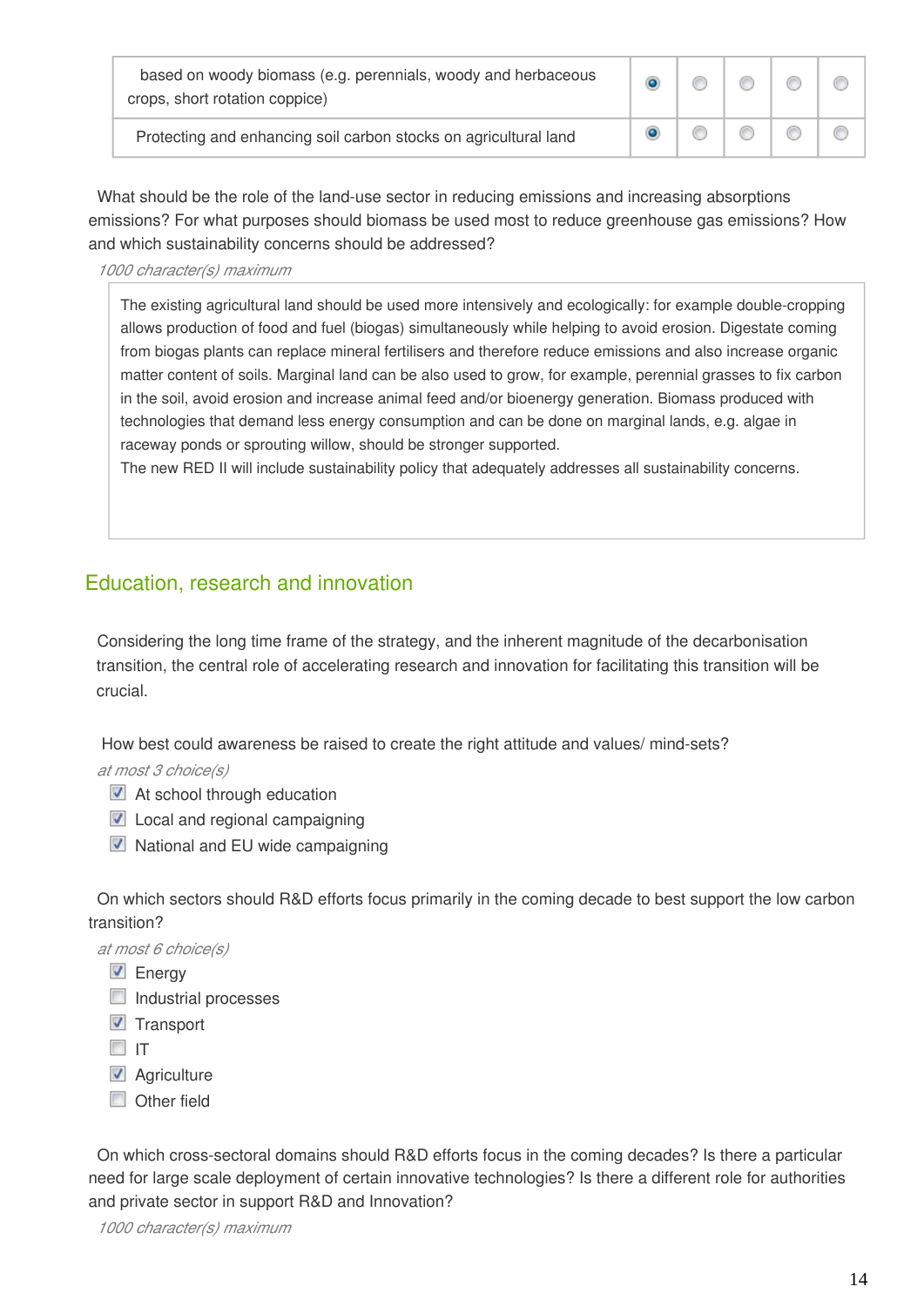| based on woody biomass (e.g. perennials, woody and herbaceous<br>crops, short rotation coppice) |  |  |  |
|-------------------------------------------------------------------------------------------------|--|--|--|
| Protecting and enhancing soil carbon stocks on agricultural land                                |  |  |  |

What should be the role of the land-use sector in reducing emissions and increasing absorptions emissions? For what purposes should biomass be used most to reduce greenhouse gas emissions? How and which sustainability concerns should be addressed?

*1000 character(s) maximum*

The existing agricultural land should be used more intensively and ecologically: for example double-cropping allows production of food and fuel (biogas) simultaneously while helping to avoid erosion. Digestate coming from biogas plants can replace mineral fertilisers and therefore reduce emissions and also increase organic matter content of soils. Marginal land can be also used to grow, for example, perennial grasses to fix carbon in the soil, avoid erosion and increase animal feed and/or bioenergy generation. Biomass produced with technologies that demand less energy consumption and can be done on marginal lands, e.g. algae in raceway ponds or sprouting willow, should be stronger supported.

The new RED II will include sustainability policy that adequately addresses all sustainability concerns.

### Education, research and innovation

Considering the long time frame of the strategy, and the inherent magnitude of the decarbonisation transition, the central role of accelerating research and innovation for facilitating this transition will be crucial.

How best could awareness be raised to create the right attitude and values/ mind-sets?

*at most 3 choice(s)*

- At school through education
- Local and regional campaigning
- $\blacksquare$  National and EU wide campaigning

On which sectors should R&D efforts focus primarily in the coming decade to best support the low carbon transition?

*at most 6 choice(s)*

- **Energy**
- $\Box$  Industrial processes
- **V** Transport
- **IT**
- Agriculture
- **Other field**

On which cross-sectoral domains should R&D efforts focus in the coming decades? Is there a particular need for large scale deployment of certain innovative technologies? Is there a different role for authorities and private sector in support R&D and Innovation?

*1000 character(s) maximum*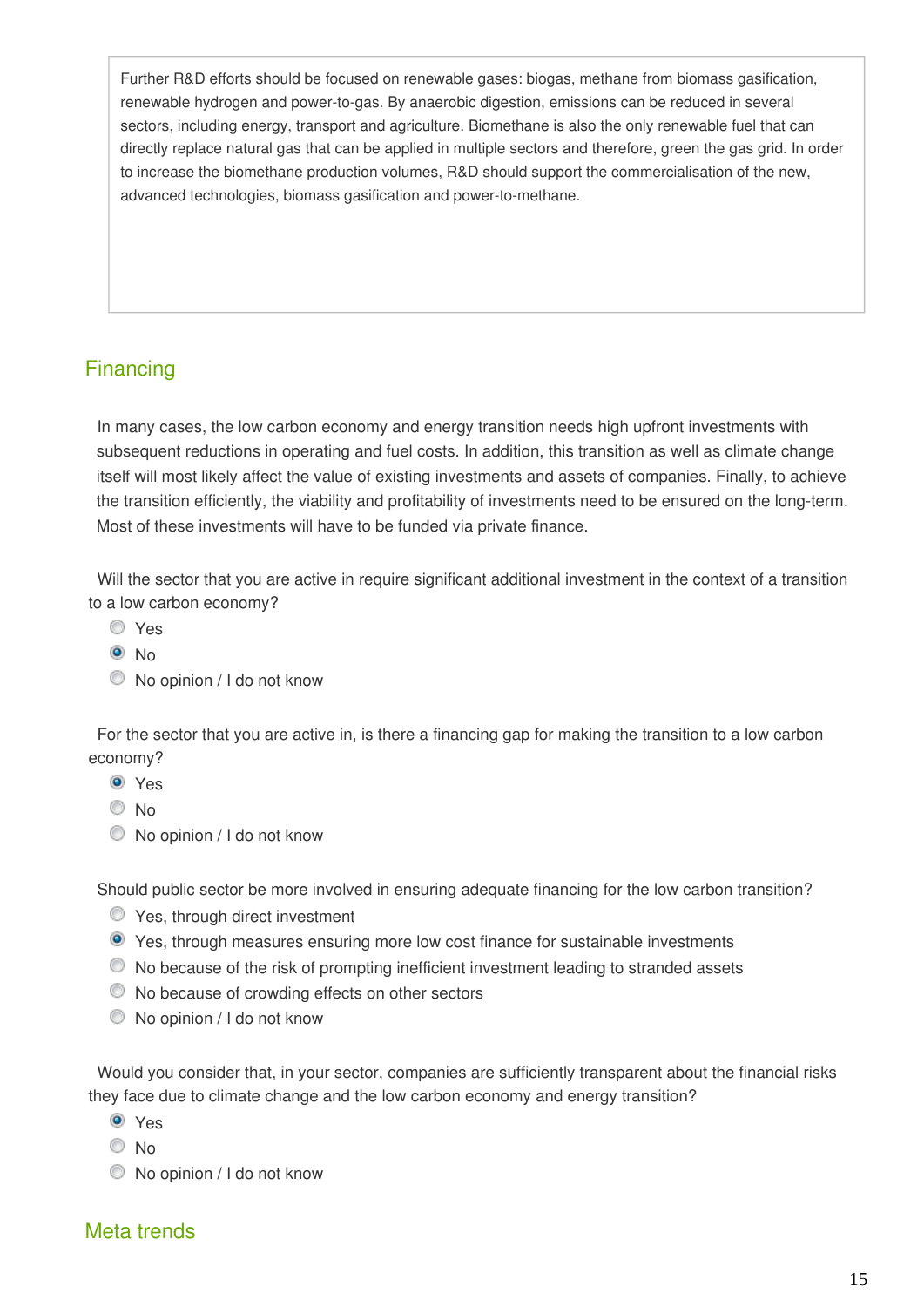Further R&D efforts should be focused on renewable gases: biogas, methane from biomass gasification, renewable hydrogen and power-to-gas. By anaerobic digestion, emissions can be reduced in several sectors, including energy, transport and agriculture. Biomethane is also the only renewable fuel that can directly replace natural gas that can be applied in multiple sectors and therefore, green the gas grid. In order to increase the biomethane production volumes, R&D should support the commercialisation of the new, advanced technologies, biomass gasification and power-to-methane.

## **Financing**

In many cases, the low carbon economy and energy transition needs high upfront investments with subsequent reductions in operating and fuel costs. In addition, this transition as well as climate change itself will most likely affect the value of existing investments and assets of companies. Finally, to achieve the transition efficiently, the viability and profitability of investments need to be ensured on the long-term. Most of these investments will have to be funded via private finance.

Will the sector that you are active in require significant additional investment in the context of a transition to a low carbon economy?

- Yes
- $\odot$  No
- $\bullet$  No opinion / I do not know

For the sector that you are active in, is there a financing gap for making the transition to a low carbon economy?

- Yes
- $\odot$  No
- $\bullet$  No opinion / I do not know

Should public sector be more involved in ensuring adequate financing for the low carbon transition?

- **C** Yes, through direct investment
- Yes, through measures ensuring more low cost finance for sustainable investments
- No because of the risk of prompting inefficient investment leading to stranded assets
- $\bullet$  No because of crowding effects on other sectors
- $\bullet$  No opinion / I do not know

Would you consider that, in your sector, companies are sufficiently transparent about the financial risks they face due to climate change and the low carbon economy and energy transition?

- Yes
- © No
- $\bullet$  No opinion / I do not know

### Meta trends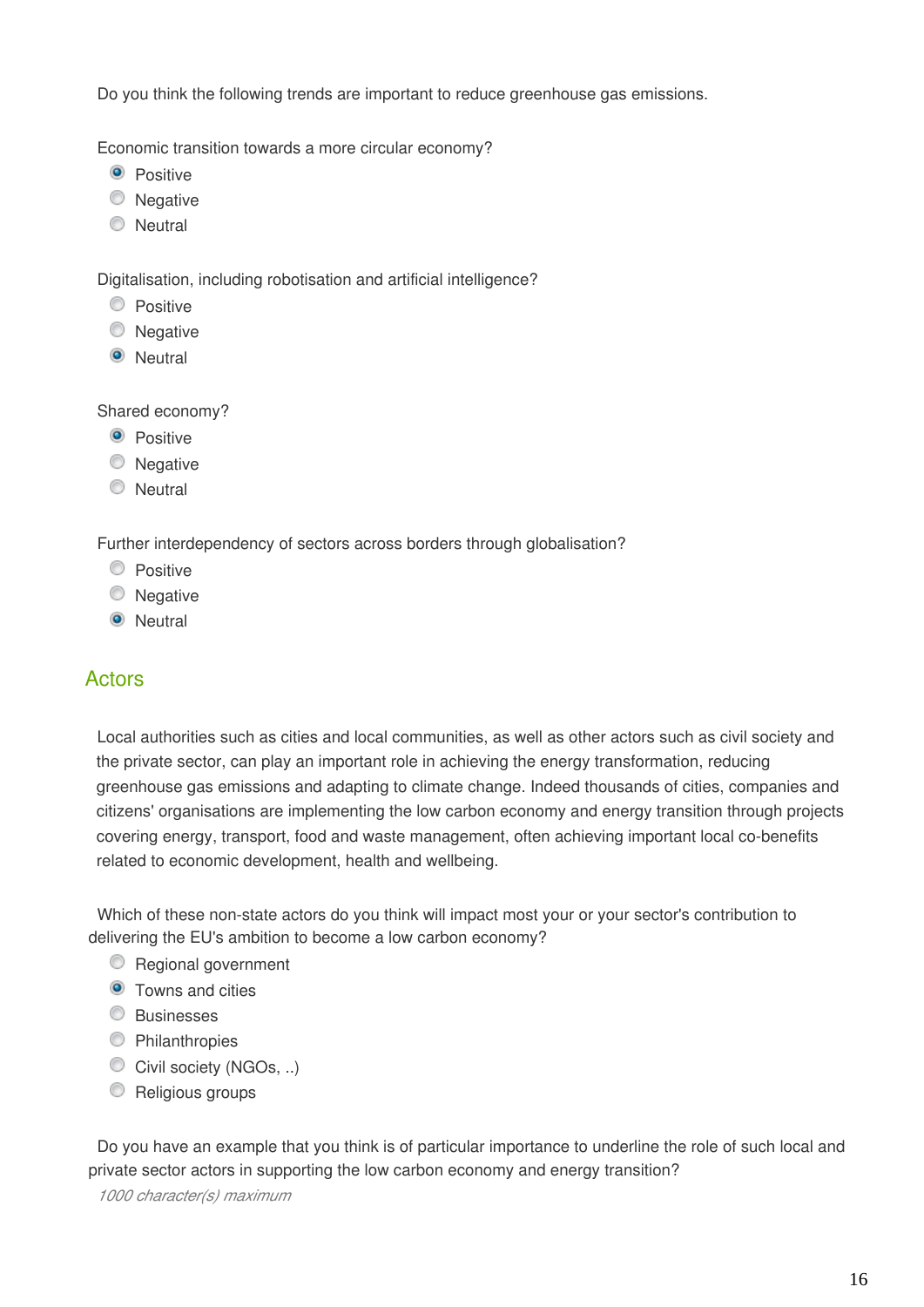Do you think the following trends are important to reduce greenhouse gas emissions.

Economic transition towards a more circular economy?

- <sup>O</sup> Positive
- C Negative
- **Neutral**

Digitalisation, including robotisation and artificial intelligence?

- **C** Positive
- C Negative
- **O** Neutral

Shared economy?

- <sup>O</sup> Positive
- **Negative**
- **Neutral**

Further interdependency of sectors across borders through globalisation?

- **C** Positive
- **Negative**
- **O** Neutral

### **Actors**

Local authorities such as cities and local communities, as well as other actors such as civil society and the private sector, can play an important role in achieving the energy transformation, reducing greenhouse gas emissions and adapting to climate change. Indeed thousands of cities, companies and citizens' organisations are implementing the low carbon economy and energy transition through projects covering energy, transport, food and waste management, often achieving important local co-benefits related to economic development, health and wellbeing.

Which of these non-state actors do you think will impact most your or your sector's contribution to delivering the EU's ambition to become a low carbon economy?

- **Regional government**
- **O** Towns and cities
- C Businesses
- **Philanthropies**
- Civil society (NGOs, ..)
- **Religious groups**

Do you have an example that you think is of particular importance to underline the role of such local and private sector actors in supporting the low carbon economy and energy transition?

*1000 character(s) maximum*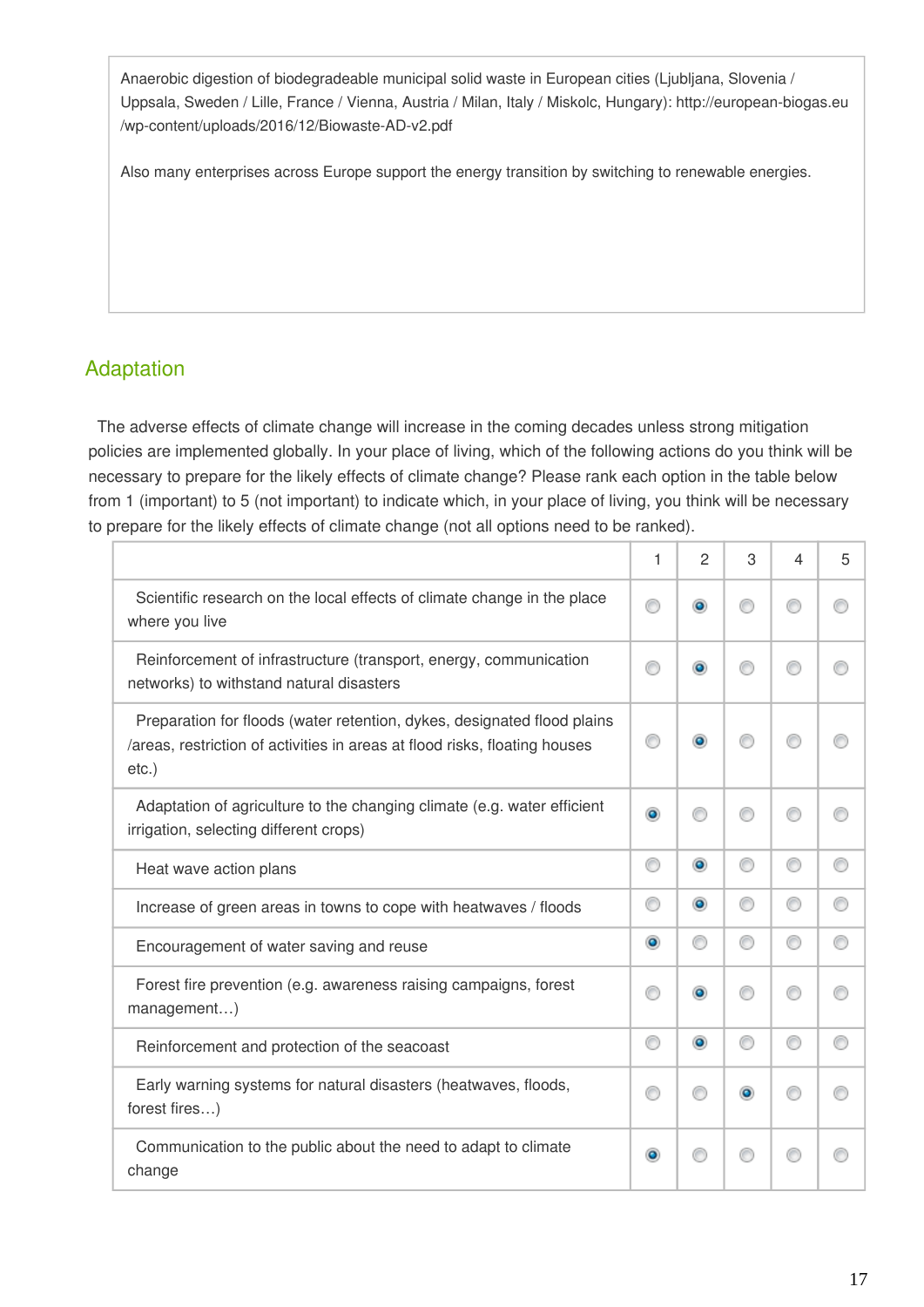Anaerobic digestion of biodegradeable municipal solid waste in European cities (Liubliana, Slovenia / Uppsala, Sweden / Lille, France / Vienna, Austria / Milan, Italy / Miskolc, Hungary): http://european-biogas.eu /wp-content/uploads/2016/12/Biowaste-AD-v2.pdf

Also many enterprises across Europe support the energy transition by switching to renewable energies.

# Adaptation

The adverse effects of climate change will increase in the coming decades unless strong mitigation policies are implemented globally. In your place of living, which of the following actions do you think will be necessary to prepare for the likely effects of climate change? Please rank each option in the table below from 1 (important) to 5 (not important) to indicate which, in your place of living, you think will be necessary to prepare for the likely effects of climate change (not all options need to be ranked).

|                                                                                                                                                                   | 1         | 2         | 3         | 4 | 5 |
|-------------------------------------------------------------------------------------------------------------------------------------------------------------------|-----------|-----------|-----------|---|---|
| Scientific research on the local effects of climate change in the place<br>where you live                                                                         | ∩         | ۰         |           | C |   |
| Reinforcement of infrastructure (transport, energy, communication<br>networks) to withstand natural disasters                                                     | ⋒         | ۰         |           | ∩ |   |
| Preparation for floods (water retention, dykes, designated flood plains<br>/areas, restriction of activities in areas at flood risks, floating houses<br>$etc.$ ) | ⊙         | $\bullet$ |           | ⋒ |   |
| Adaptation of agriculture to the changing climate (e.g. water efficient<br>irrigation, selecting different crops)                                                 | ۱         | ⋒         |           | ∩ |   |
| Heat wave action plans                                                                                                                                            | ⊙         | $\bullet$ | ⋒         | ⊙ |   |
| Increase of green areas in towns to cope with heatwaves / floods                                                                                                  | 0         | $\bullet$ | ⋒         | ⋒ |   |
| Encouragement of water saving and reuse                                                                                                                           | $\bullet$ | ◎         | ⊙         | ⊙ |   |
| Forest fire prevention (e.g. awareness raising campaigns, forest<br>management)                                                                                   | ⊙         | ۰         |           | ⊙ |   |
| Reinforcement and protection of the seacoast                                                                                                                      | ⊙         | $\bullet$ |           | ⊙ |   |
| Early warning systems for natural disasters (heatwaves, floods,<br>forest fires)                                                                                  | ∩         |           | $\bullet$ | ⋒ |   |
| Communication to the public about the need to adapt to climate<br>change                                                                                          | $\bullet$ |           |           |   |   |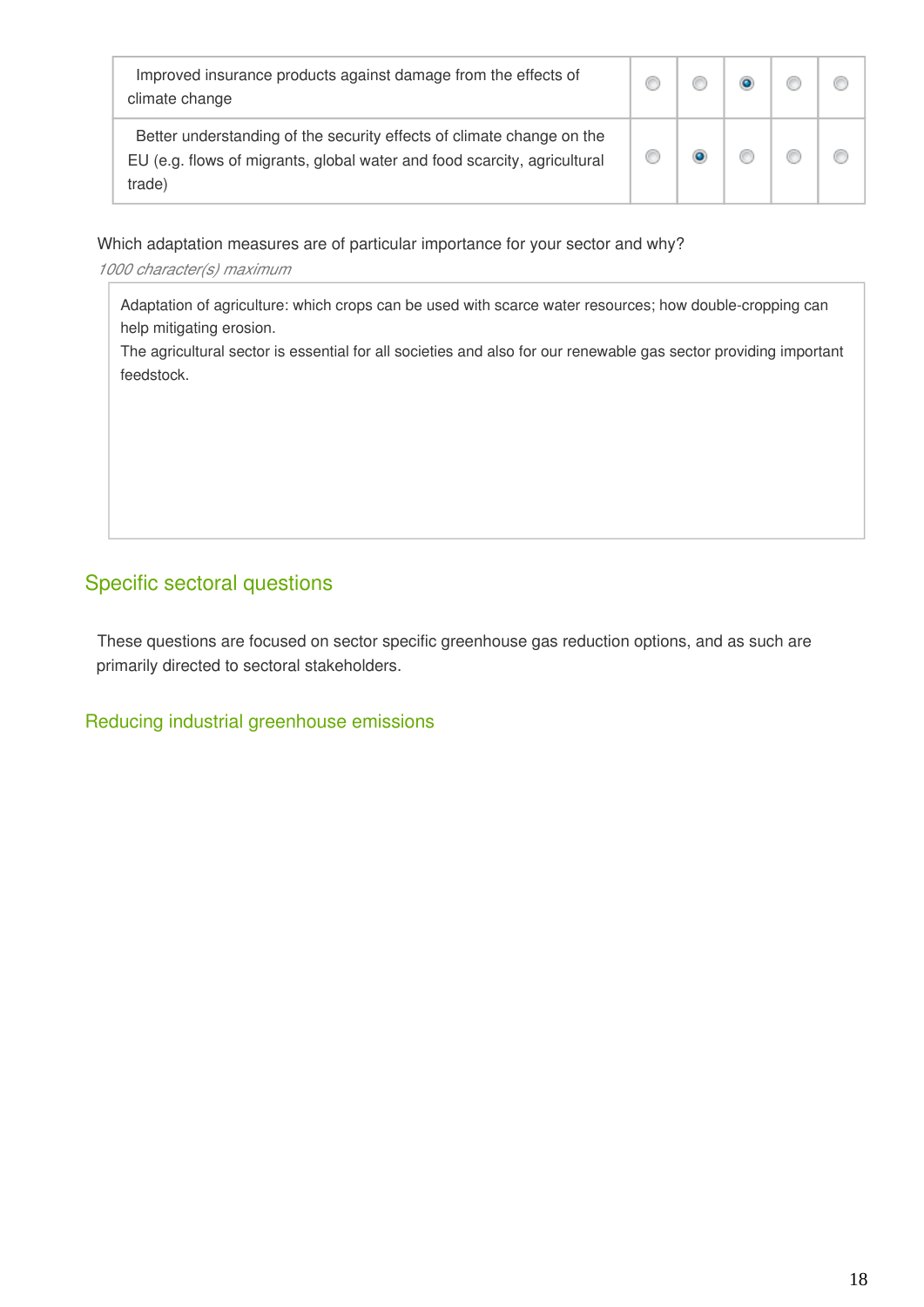| Improved insurance products against damage from the effects of<br>climate change                                                                            |  |  |  |
|-------------------------------------------------------------------------------------------------------------------------------------------------------------|--|--|--|
| Better understanding of the security effects of climate change on the<br>EU (e.g. flows of migrants, global water and food scarcity, agricultural<br>trade) |  |  |  |

Which adaptation measures are of particular importance for your sector and why?

#### *1000 character(s) maximum*

Adaptation of agriculture: which crops can be used with scarce water resources; how double-cropping can help mitigating erosion.

The agricultural sector is essential for all societies and also for our renewable gas sector providing important feedstock.

### Specific sectoral questions

These questions are focused on sector specific greenhouse gas reduction options, and as such are primarily directed to sectoral stakeholders.

Reducing industrial greenhouse emissions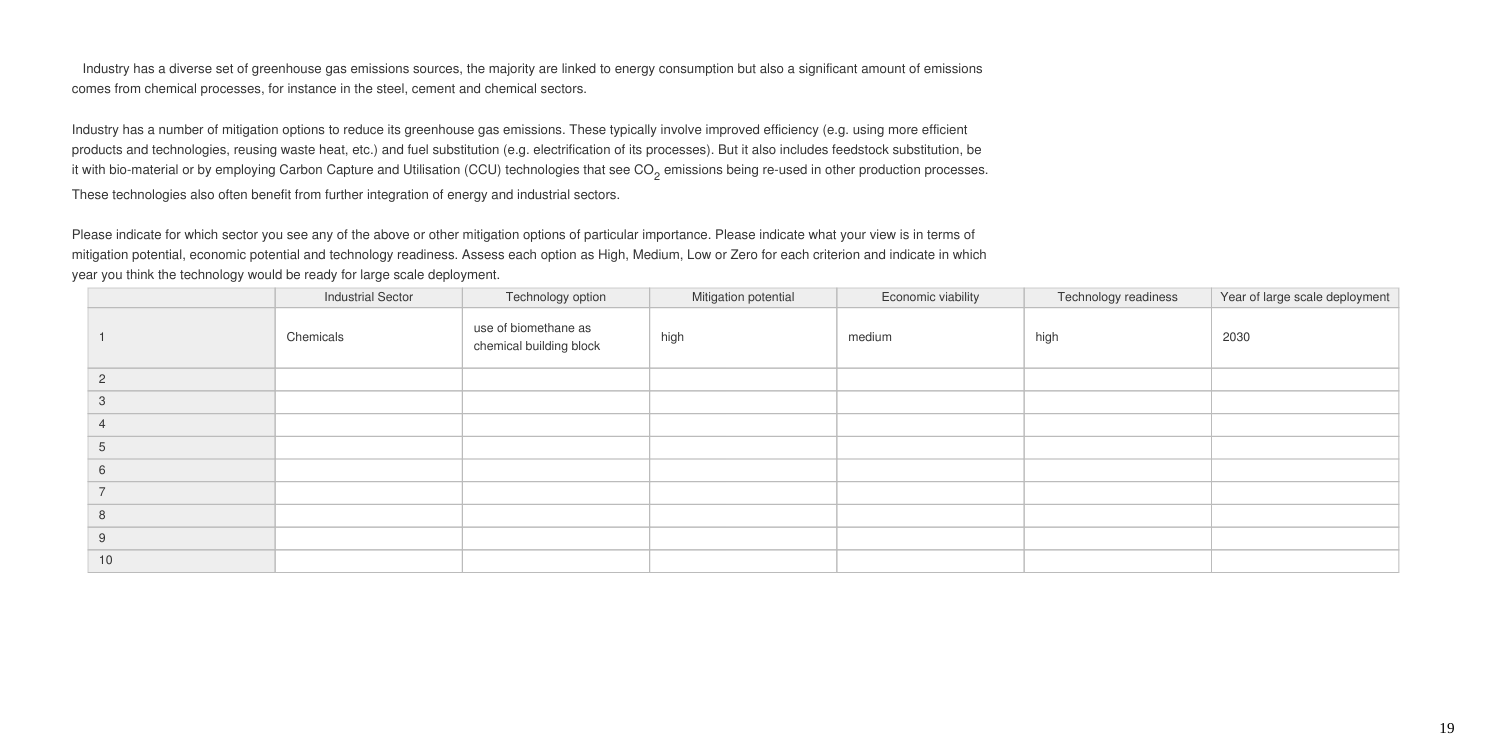Industry has a diverse set of greenhouse gas emissions sources, the majority are linked to energy consumption but also a significant amount of emissions comes from chemical processes, for instance in the steel, cement and chemical sectors.

Industry has a number of mitigation options to reduce its greenhouse gas emissions. These typically involve improved efficiency (e.g. using more efficient products and technologies, reusing waste heat, etc.) and fuel substitution (e.g. electrification of its processes). But it also includes feedstock substitution, be it with bio-material or by employing Carbon Capture and Utilisation (CCU) technologies that see  $CO<sub>2</sub>$  emissions being re-used in other production processes. These technologies also often benefit from further integration of energy and industrial sectors.

Please indicate for which sector you see any of the above or other mitigation options of particular importance. Please indicate what your view is in terms of mitigation potential, economic potential and technology readiness. Assess each option as High, Medium, Low or Zero for each criterion and indicate in which year you think the technology would be ready for large scale deployment.

|                | <b>Industrial Sector</b> | Technology option                               | Mitigation potential | Economic viability | Technology readiness | Year of large scale deployment |
|----------------|--------------------------|-------------------------------------------------|----------------------|--------------------|----------------------|--------------------------------|
|                | Chemicals                | use of biomethane as<br>chemical building block | high                 | medium             | high                 | 2030                           |
| $\overline{2}$ |                          |                                                 |                      |                    |                      |                                |
| 3              |                          |                                                 |                      |                    |                      |                                |
|                |                          |                                                 |                      |                    |                      |                                |
| $5^{\circ}$    |                          |                                                 |                      |                    |                      |                                |
| 6              |                          |                                                 |                      |                    |                      |                                |
|                |                          |                                                 |                      |                    |                      |                                |
| 8              |                          |                                                 |                      |                    |                      |                                |
| 9              |                          |                                                 |                      |                    |                      |                                |
| 10             |                          |                                                 |                      |                    |                      |                                |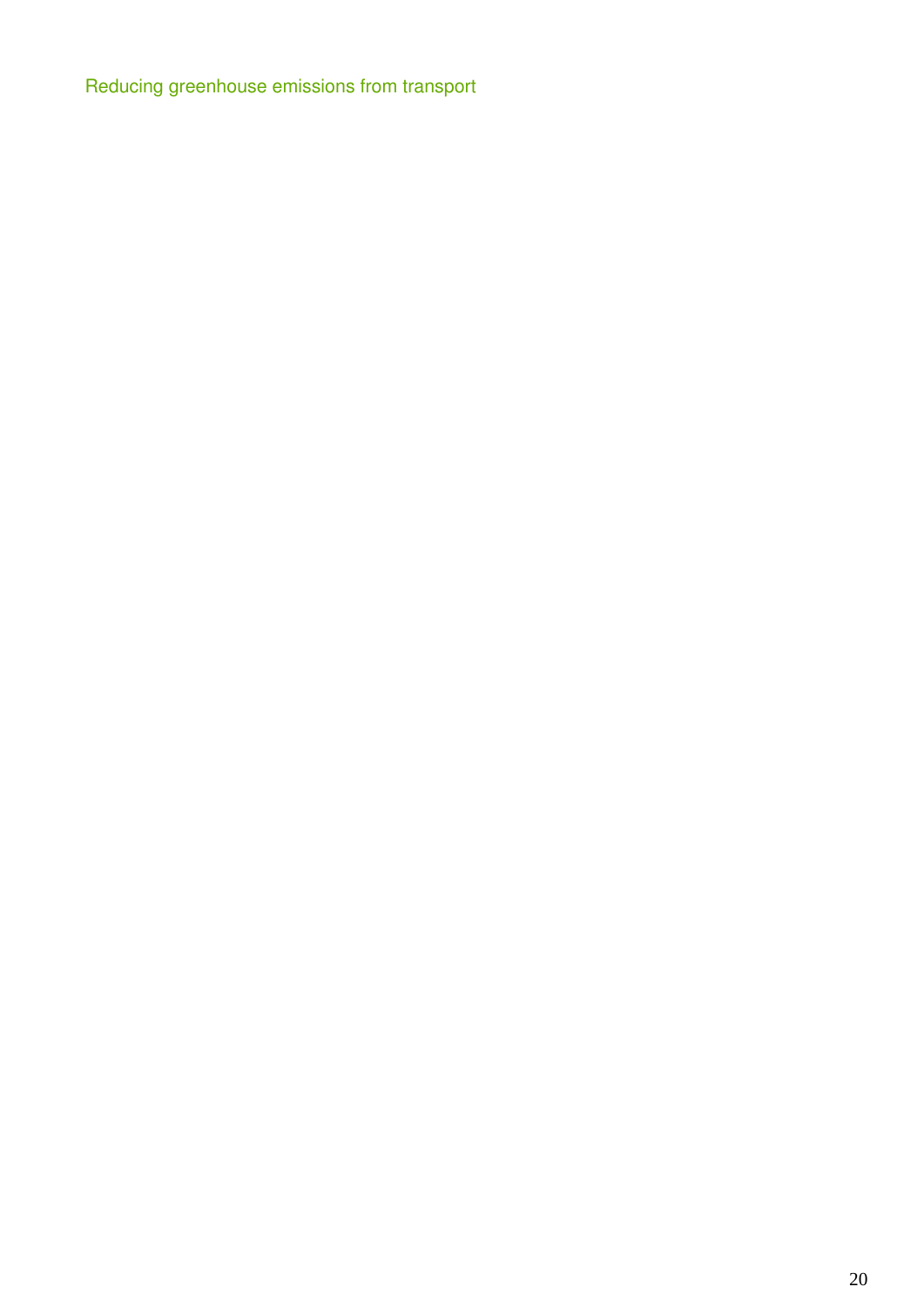Reducing greenhouse emissions from transport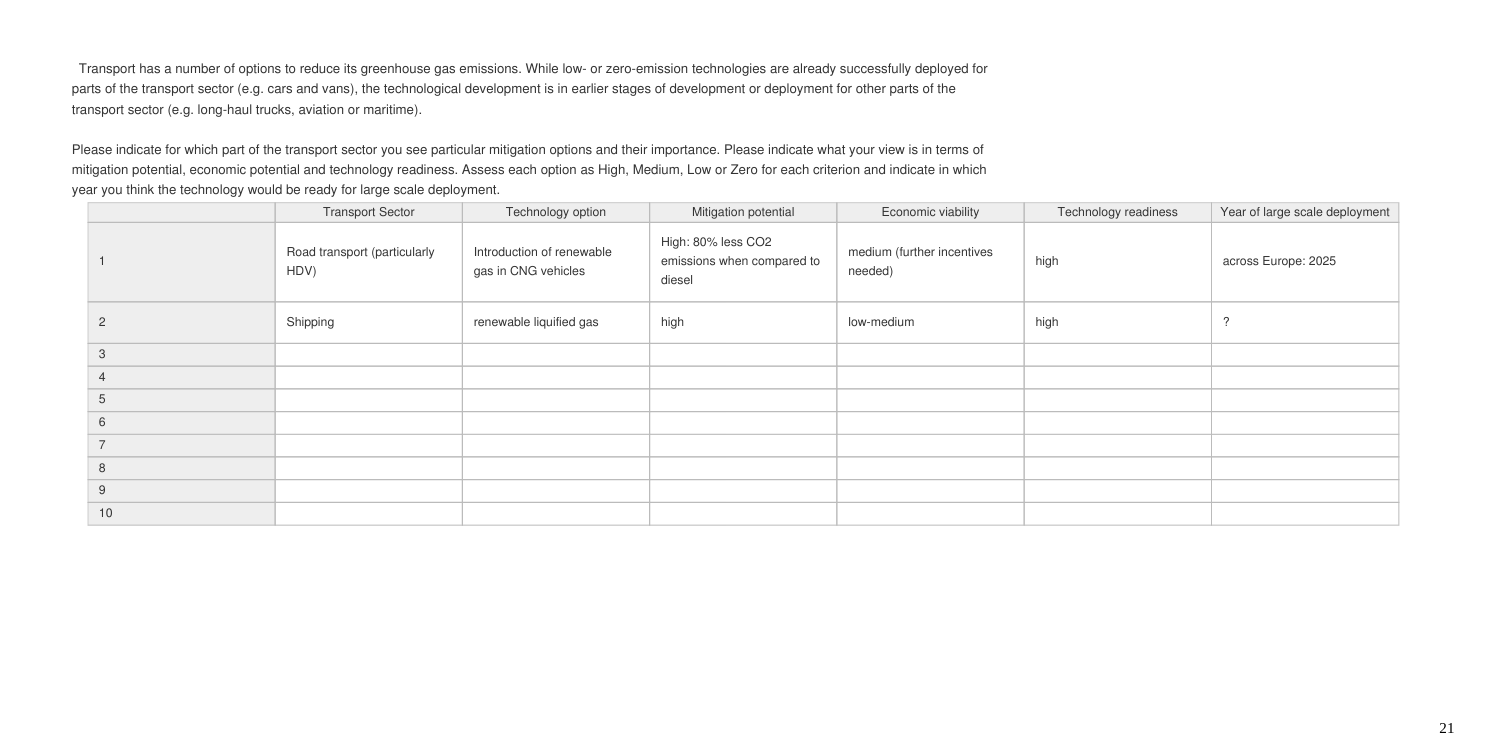Transport has a number of options to reduce its greenhouse gas emissions. While low- or zero-emission technologies are already successfully deployed for parts of the transport sector (e.g. cars and vans), the technological development is in earlier stages of development or deployment for other parts of the transport sector (e.g. long-haul trucks, aviation or maritime).

Please indicate for which part of the transport sector you see particular mitigation options and their importance. Please indicate what your view is in terms of mitigation potential, economic potential and technology readiness. Assess each option as High, Medium, Low or Zero for each criterion and indicate in which year you think the technology would be ready for large scale deployment.

|         | <b>Transport Sector</b>              | Technology option                                | Mitigation potential                                       | Economic viability                    | Technology readiness | Year of large scale deployment |
|---------|--------------------------------------|--------------------------------------------------|------------------------------------------------------------|---------------------------------------|----------------------|--------------------------------|
|         | Road transport (particularly<br>HDV) | Introduction of renewable<br>gas in CNG vehicles | High: 80% less CO2<br>emissions when compared to<br>diesel | medium (further incentives<br>needed) | high                 | across Europe: 2025            |
| 2       | Shipping                             | renewable liquified gas                          | high                                                       | low-medium                            | high                 | $\Omega$                       |
| 3       |                                      |                                                  |                                                            |                                       |                      |                                |
|         |                                      |                                                  |                                                            |                                       |                      |                                |
| 5       |                                      |                                                  |                                                            |                                       |                      |                                |
| $\circ$ |                                      |                                                  |                                                            |                                       |                      |                                |
|         |                                      |                                                  |                                                            |                                       |                      |                                |
| 8       |                                      |                                                  |                                                            |                                       |                      |                                |
| 9       |                                      |                                                  |                                                            |                                       |                      |                                |
| 10      |                                      |                                                  |                                                            |                                       |                      |                                |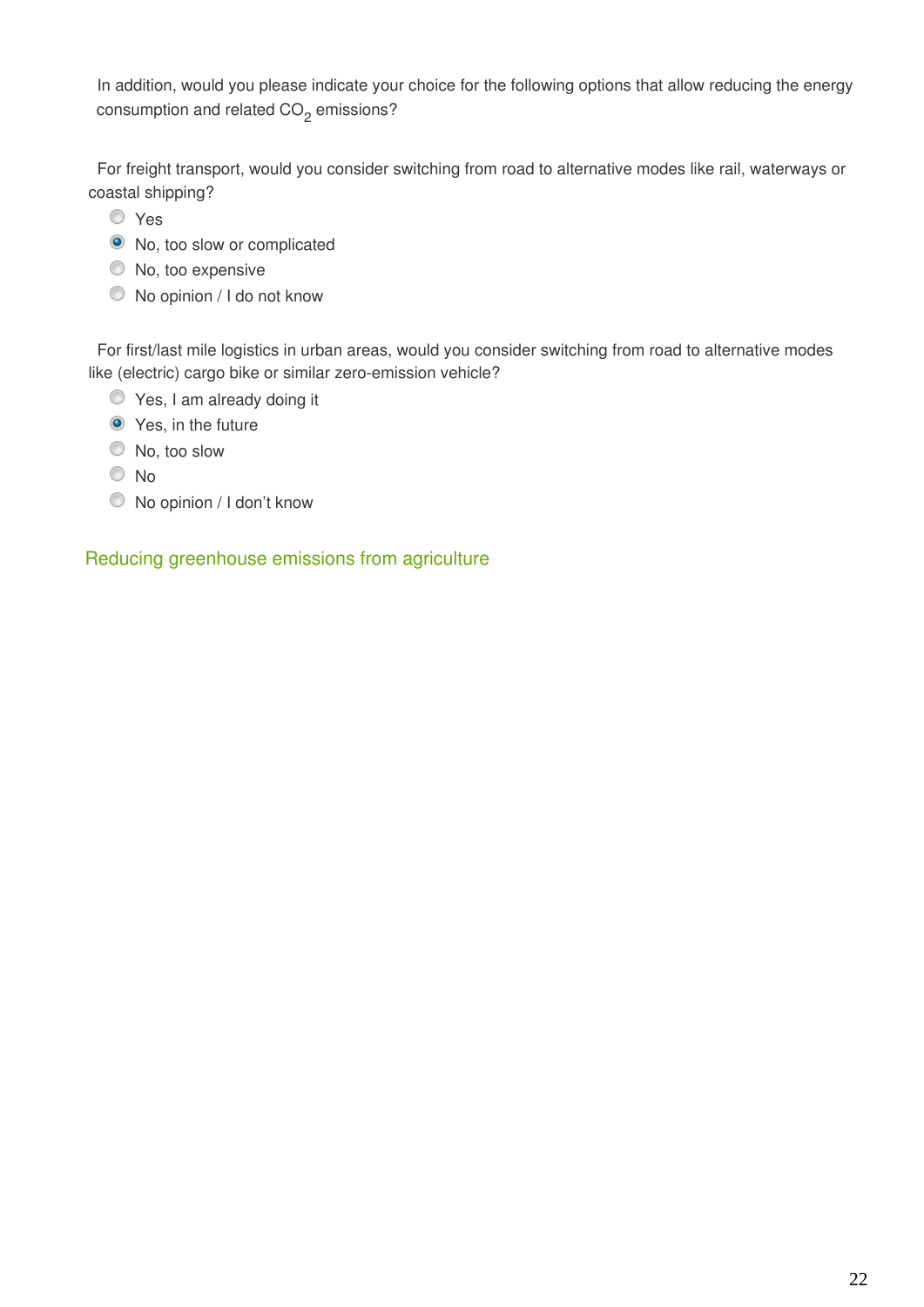In addition, would you please indicate your choice for the following options that allow reducing the energy consumption and related  $CO<sub>2</sub>$  emissions?

For freight transport, would you consider switching from road to alternative modes like rail, waterways or coastal shipping?

- Yes
- $\bullet$  No, too slow or complicated
- $\bullet$  No, too expensive
- $\bullet$  No opinion / I do not know

For first/last mile logistics in urban areas, would you consider switching from road to alternative modes like (electric) cargo bike or similar zero-emission vehicle?

- Yes, I am already doing it
- **O** Yes, in the future
- $\bullet$  No, too slow
- No
- No opinion / I don't know

Reducing greenhouse emissions from agriculture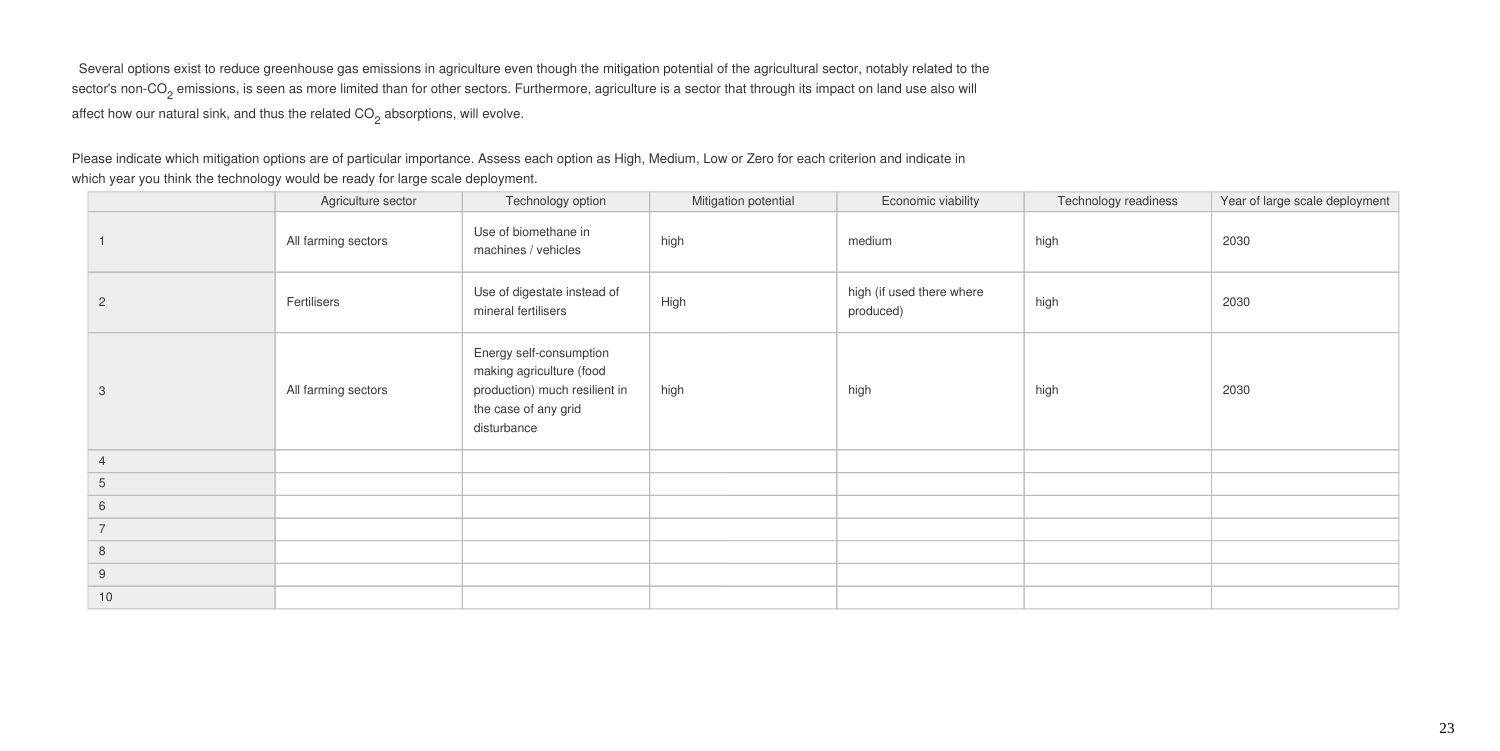Several options exist to reduce greenhouse gas emissions in agriculture even though the mitigation potential of the agricultural sector, notably related to the sector's non-CO<sub>2</sub> emissions, is seen as more limited than for other sectors. Furthermore, agriculture is a sector that through its impact on land use also will affect how our natural sink, and thus the related  $CO_2$  absorptions, will evolve.

Please indicate which mitigation options are of particular importance. Assess each option as High, Medium, Low or Zero for each criterion and indicate in which year you think the technology would be ready for large scale deployment.

|                 | Agriculture sector  | Technology option                                                                                                           | Mitigation potential | Economic viability                     | Technology readiness | Year of large scale deployment |
|-----------------|---------------------|-----------------------------------------------------------------------------------------------------------------------------|----------------------|----------------------------------------|----------------------|--------------------------------|
|                 | All farming sectors | Use of biomethane in<br>machines / vehicles                                                                                 | high                 | medium                                 | high                 | 2030                           |
| $\mathbf{2}$    | Fertilisers         | Use of digestate instead of<br>mineral fertilisers                                                                          | High                 | high (if used there where<br>produced) | high                 | 2030                           |
| 3               | All farming sectors | Energy self-consumption<br>making agriculture (food<br>production) much resilient in<br>the case of any grid<br>disturbance | high                 | high                                   | high                 | 2030                           |
| $\overline{4}$  |                     |                                                                                                                             |                      |                                        |                      |                                |
| $5\phantom{.0}$ |                     |                                                                                                                             |                      |                                        |                      |                                |
| 6               |                     |                                                                                                                             |                      |                                        |                      |                                |
| $\overline{7}$  |                     |                                                                                                                             |                      |                                        |                      |                                |
| 8               |                     |                                                                                                                             |                      |                                        |                      |                                |
| 9               |                     |                                                                                                                             |                      |                                        |                      |                                |
| 10              |                     |                                                                                                                             |                      |                                        |                      |                                |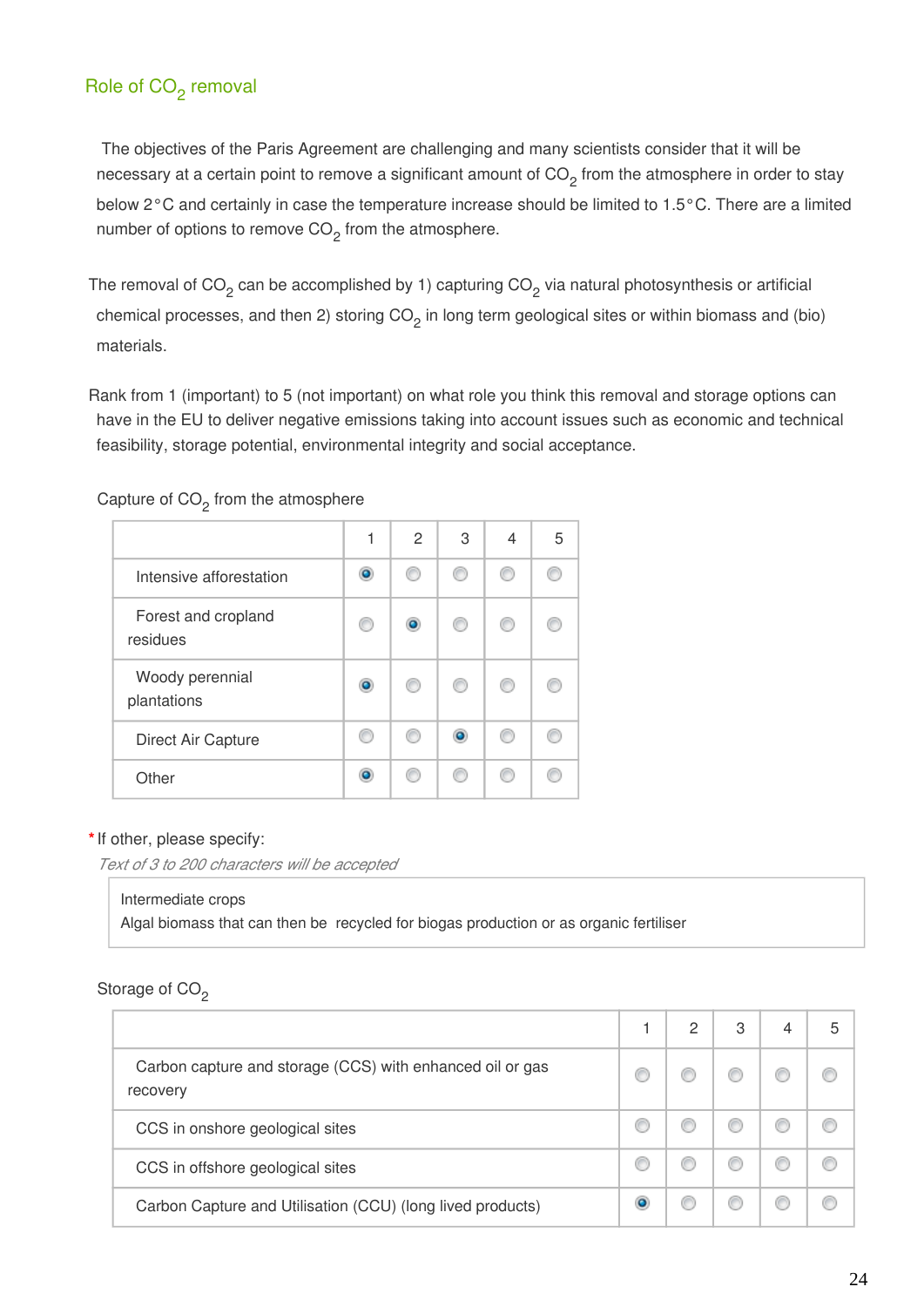# Role of  $CO<sub>2</sub>$  removal

 The objectives of the Paris Agreement are challenging and many scientists consider that it will be necessary at a certain point to remove a significant amount of  $CO<sub>2</sub>$  from the atmosphere in order to stay below 2°C and certainly in case the temperature increase should be limited to 1.5°C. There are a limited number of options to remove  $CO<sub>2</sub>$  from the atmosphere.

The removal of CO<sub>2</sub> can be accomplished by 1) capturing CO<sub>2</sub> via natural photosynthesis or artificial chemical processes, and then 2) storing  $CO<sub>2</sub>$  in long term geological sites or within biomass and (bio) materials.

Rank from 1 (important) to 5 (not important) on what role you think this removal and storage options can have in the EU to deliver negative emissions taking into account issues such as economic and technical feasibility, storage potential, environmental integrity and social acceptance.

|                                 |           | 2            | 3         | 4 | 5 |
|---------------------------------|-----------|--------------|-----------|---|---|
| Intensive afforestation         | ۵         | $\mathbb{C}$ | €         |   |   |
| Forest and cropland<br>residues | O         | ۰            | ◎         | ⊙ |   |
| Woody perennial<br>plantations  | $\bullet$ | ⋒            | ⊙         | ⊙ |   |
| Direct Air Capture              |           | m            | $\bullet$ | ⋒ |   |
| Other                           |           |              |           |   |   |

Capture of  $CO<sub>2</sub>$  from the atmosphere

#### **\***If other, please specify:

*Text of 3 to 200 characters will be accepted*

### Intermediate crops Algal biomass that can then be recycled for biogas production or as organic fertiliser

#### Storage of  $CO<sub>2</sub>$

|                                                                       | 2 | 3 | 4 | 5 |
|-----------------------------------------------------------------------|---|---|---|---|
| Carbon capture and storage (CCS) with enhanced oil or gas<br>recovery |   |   |   |   |
| CCS in onshore geological sites                                       |   |   |   |   |
| CCS in offshore geological sites                                      |   |   |   |   |
| Carbon Capture and Utilisation (CCU) (long lived products)            |   |   |   |   |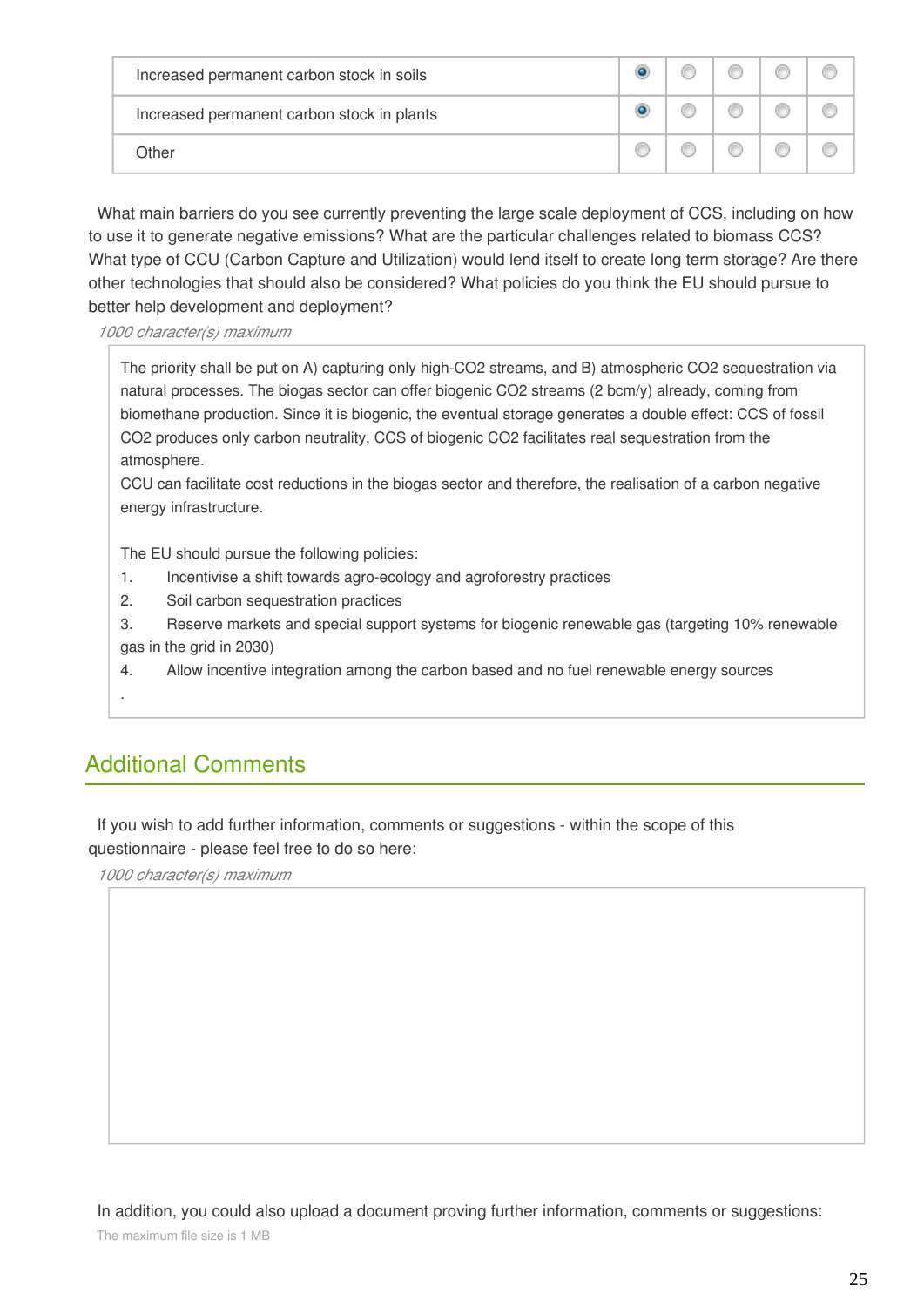| Increased permanent carbon stock in soils  |  |  |  |
|--------------------------------------------|--|--|--|
| Increased permanent carbon stock in plants |  |  |  |
| Other                                      |  |  |  |

What main barriers do you see currently preventing the large scale deployment of CCS, including on how to use it to generate negative emissions? What are the particular challenges related to biomass CCS? What type of CCU (Carbon Capture and Utilization) would lend itself to create long term storage? Are there other technologies that should also be considered? What policies do you think the EU should pursue to better help development and deployment?

*1000 character(s) maximum*

The priority shall be put on A) capturing only high-CO2 streams, and B) atmospheric CO2 sequestration via natural processes. The biogas sector can offer biogenic CO2 streams (2 bcm/y) already, coming from biomethane production. Since it is biogenic, the eventual storage generates a double effect: CCS of fossil CO2 produces only carbon neutrality, CCS of biogenic CO2 facilitates real sequestration from the atmosphere.

CCU can facilitate cost reductions in the biogas sector and therefore, the realisation of a carbon negative energy infrastructure.

The EU should pursue the following policies:

- 1. Incentivise a shift towards agro-ecology and agroforestry practices
- 2. Soil carbon sequestration practices
- 3. Reserve markets and special support systems for biogenic renewable gas (targeting 10% renewable
- gas in the grid in 2030)
- 4. Allow incentive integration among the carbon based and no fuel renewable energy sources
- .

# Additional Comments

If you wish to add further information, comments or suggestions - within the scope of this questionnaire - please feel free to do so here:

*1000 character(s) maximum*

In addition, you could also upload a document proving further information, comments or suggestions: